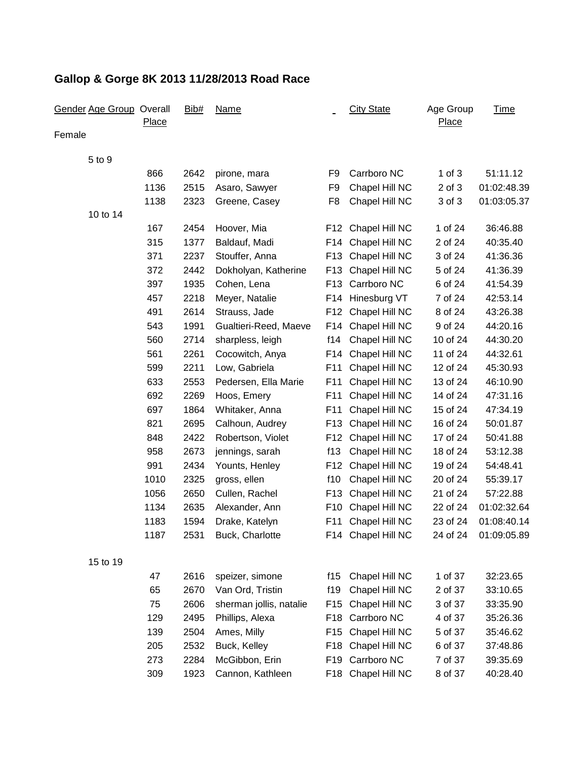| <b>Gender Age Group Overall</b> | <b>Place</b> | Bib# | <b>Name</b>             |                 | <b>City State</b>  | Age Group<br><b>Place</b> | <b>Time</b> |
|---------------------------------|--------------|------|-------------------------|-----------------|--------------------|---------------------------|-------------|
| Female                          |              |      |                         |                 |                    |                           |             |
| 5 to 9                          |              |      |                         |                 |                    |                           |             |
|                                 | 866          | 2642 | pirone, mara            | F9              | Carrboro NC        | $1$ of $3$                | 51:11.12    |
|                                 | 1136         | 2515 | Asaro, Sawyer           | F <sub>9</sub>  | Chapel Hill NC     | $2$ of $3$                | 01:02:48.39 |
|                                 | 1138         | 2323 | Greene, Casey           | F <sub>8</sub>  | Chapel Hill NC     | 3 of 3                    | 01:03:05.37 |
| 10 to 14                        |              |      |                         |                 |                    |                           |             |
|                                 | 167          | 2454 | Hoover, Mia             | F12             | Chapel Hill NC     | 1 of 24                   | 36:46.88    |
|                                 | 315          | 1377 | Baldauf, Madi           | F14             | Chapel Hill NC     | 2 of 24                   | 40:35.40    |
|                                 | 371          | 2237 | Stouffer, Anna          | F <sub>13</sub> | Chapel Hill NC     | 3 of 24                   | 41:36.36    |
|                                 | 372          | 2442 | Dokholyan, Katherine    | F <sub>13</sub> | Chapel Hill NC     | 5 of 24                   | 41:36.39    |
|                                 | 397          | 1935 | Cohen, Lena             | F <sub>13</sub> | Carrboro NC        | 6 of 24                   | 41:54.39    |
|                                 | 457          | 2218 | Meyer, Natalie          | F14             | Hinesburg VT       | 7 of 24                   | 42:53.14    |
|                                 | 491          | 2614 | Strauss, Jade           | F <sub>12</sub> | Chapel Hill NC     | 8 of 24                   | 43:26.38    |
|                                 | 543          | 1991 | Gualtieri-Reed, Maeve   | F14             | Chapel Hill NC     | 9 of 24                   | 44:20.16    |
|                                 | 560          | 2714 | sharpless, leigh        | f14             | Chapel Hill NC     | 10 of 24                  | 44:30.20    |
|                                 | 561          | 2261 | Cocowitch, Anya         | F14             | Chapel Hill NC     | 11 of 24                  | 44:32.61    |
|                                 | 599          | 2211 | Low, Gabriela           | F11             | Chapel Hill NC     | 12 of 24                  | 45:30.93    |
|                                 | 633          | 2553 | Pedersen, Ella Marie    | F11             | Chapel Hill NC     | 13 of 24                  | 46:10.90    |
|                                 | 692          | 2269 | Hoos, Emery             | F11             | Chapel Hill NC     | 14 of 24                  | 47:31.16    |
|                                 | 697          | 1864 | Whitaker, Anna          | F11             | Chapel Hill NC     | 15 of 24                  | 47:34.19    |
|                                 | 821          | 2695 | Calhoun, Audrey         | F <sub>13</sub> | Chapel Hill NC     | 16 of 24                  | 50:01.87    |
|                                 | 848          | 2422 | Robertson, Violet       | F <sub>12</sub> | Chapel Hill NC     | 17 of 24                  | 50:41.88    |
|                                 | 958          | 2673 | jennings, sarah         | f13             | Chapel Hill NC     | 18 of 24                  | 53:12.38    |
|                                 | 991          | 2434 | Younts, Henley          | F12             | Chapel Hill NC     | 19 of 24                  | 54:48.41    |
|                                 | 1010         | 2325 | gross, ellen            | f10             | Chapel Hill NC     | 20 of 24                  | 55:39.17    |
|                                 | 1056         | 2650 | Cullen, Rachel          | F <sub>13</sub> | Chapel Hill NC     | 21 of 24                  | 57:22.88    |
|                                 | 1134         | 2635 | Alexander, Ann          | F <sub>10</sub> | Chapel Hill NC     | 22 of 24                  | 01:02:32.64 |
|                                 | 1183         | 1594 | Drake, Katelyn          | F11             | Chapel Hill NC     | 23 of 24                  | 01:08:40.14 |
|                                 | 1187         | 2531 | Buck, Charlotte         |                 | F14 Chapel Hill NC | 24 of 24                  | 01:09:05.89 |
| 15 to 19                        |              |      |                         |                 |                    |                           |             |
|                                 | 47           | 2616 | speizer, simone         | f15             | Chapel Hill NC     | 1 of 37                   | 32:23.65    |
|                                 | 65           | 2670 | Van Ord, Tristin        | f19             | Chapel Hill NC     | 2 of 37                   | 33:10.65    |
|                                 | 75           | 2606 | sherman jollis, natalie | F <sub>15</sub> | Chapel Hill NC     | 3 of 37                   | 33:35.90    |
|                                 | 129          | 2495 | Phillips, Alexa         | F18             | Carrboro NC        | 4 of 37                   | 35:26.36    |
|                                 | 139          | 2504 | Ames, Milly             | F <sub>15</sub> | Chapel Hill NC     | 5 of 37                   | 35:46.62    |
|                                 | 205          | 2532 | Buck, Kelley            | F18             | Chapel Hill NC     | 6 of 37                   | 37:48.86    |
|                                 | 273          | 2284 | McGibbon, Erin          | F19             | Carrboro NC        | 7 of 37                   | 39:35.69    |
|                                 | 309          | 1923 | Cannon, Kathleen        | F18             | Chapel Hill NC     | 8 of 37                   | 40:28.40    |
|                                 |              |      |                         |                 |                    |                           |             |

# **Gallop & Gorge 8K 2013 11/28/2013 Road Race**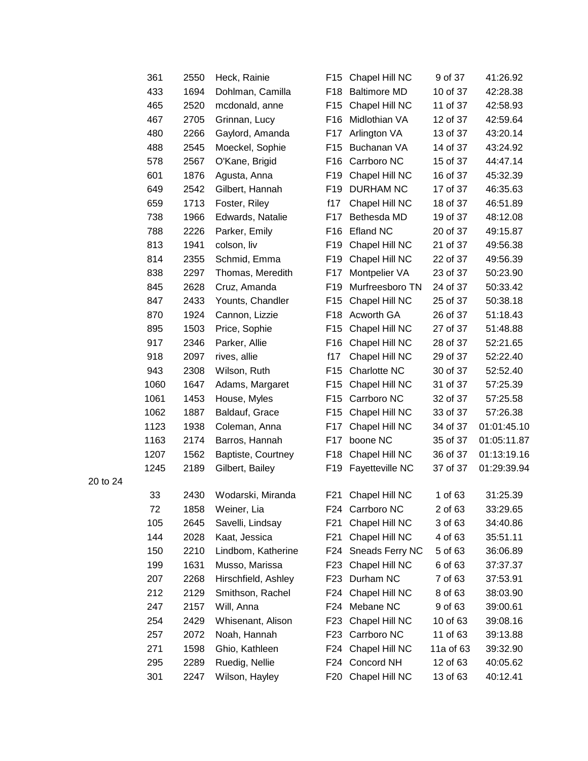| 361  | 2550 | Heck, Rainie        | F <sub>15</sub> | Chapel Hill NC      | 9 of 37   | 41:26.92    |
|------|------|---------------------|-----------------|---------------------|-----------|-------------|
| 433  | 1694 | Dohlman, Camilla    | F <sub>18</sub> | <b>Baltimore MD</b> | 10 of 37  | 42:28.38    |
| 465  | 2520 | mcdonald, anne      | F <sub>15</sub> | Chapel Hill NC      | 11 of 37  | 42:58.93    |
| 467  | 2705 | Grinnan, Lucy       | F <sub>16</sub> | Midlothian VA       | 12 of 37  | 42:59.64    |
| 480  | 2266 | Gaylord, Amanda     | F17             | Arlington VA        | 13 of 37  | 43:20.14    |
| 488  | 2545 | Moeckel, Sophie     | F <sub>15</sub> | Buchanan VA         | 14 of 37  | 43:24.92    |
| 578  | 2567 | O'Kane, Brigid      | F16             | Carrboro NC         | 15 of 37  | 44:47.14    |
| 601  | 1876 | Agusta, Anna        | F <sub>19</sub> | Chapel Hill NC      | 16 of 37  | 45:32.39    |
| 649  | 2542 | Gilbert, Hannah     | F <sub>19</sub> | <b>DURHAM NC</b>    | 17 of 37  | 46:35.63    |
| 659  | 1713 | Foster, Riley       | f17             | Chapel Hill NC      | 18 of 37  | 46:51.89    |
| 738  | 1966 | Edwards, Natalie    | F17             | Bethesda MD         | 19 of 37  | 48:12.08    |
| 788  | 2226 | Parker, Emily       | F <sub>16</sub> | <b>Efland NC</b>    | 20 of 37  | 49:15.87    |
| 813  | 1941 | colson, liv         | F <sub>19</sub> | Chapel Hill NC      | 21 of 37  | 49:56.38    |
| 814  | 2355 | Schmid, Emma        | F <sub>19</sub> | Chapel Hill NC      | 22 of 37  | 49:56.39    |
| 838  | 2297 | Thomas, Meredith    | F17             | Montpelier VA       | 23 of 37  | 50:23.90    |
| 845  | 2628 | Cruz, Amanda        | F <sub>19</sub> | Murfreesboro TN     | 24 of 37  | 50:33.42    |
| 847  | 2433 | Younts, Chandler    | F <sub>15</sub> | Chapel Hill NC      | 25 of 37  | 50:38.18    |
| 870  | 1924 | Cannon, Lizzie      | F <sub>18</sub> | Acworth GA          | 26 of 37  | 51:18.43    |
| 895  | 1503 | Price, Sophie       | F <sub>15</sub> | Chapel Hill NC      | 27 of 37  | 51:48.88    |
| 917  | 2346 | Parker, Allie       | F <sub>16</sub> | Chapel Hill NC      | 28 of 37  | 52:21.65    |
| 918  | 2097 | rives, allie        | f17             | Chapel Hill NC      | 29 of 37  | 52:22.40    |
| 943  | 2308 | Wilson, Ruth        | F <sub>15</sub> | Charlotte NC        | 30 of 37  | 52:52.40    |
| 1060 | 1647 | Adams, Margaret     | F <sub>15</sub> | Chapel Hill NC      | 31 of 37  | 57:25.39    |
| 1061 | 1453 | House, Myles        | F <sub>15</sub> | Carrboro NC         | 32 of 37  | 57:25.58    |
| 1062 | 1887 | Baldauf, Grace      | F <sub>15</sub> | Chapel Hill NC      | 33 of 37  | 57:26.38    |
| 1123 | 1938 | Coleman, Anna       | F17             | Chapel Hill NC      | 34 of 37  | 01:01:45.10 |
| 1163 | 2174 | Barros, Hannah      | F17             | boone NC            | 35 of 37  | 01:05:11.87 |
| 1207 | 1562 | Baptiste, Courtney  | F18             | Chapel Hill NC      | 36 of 37  | 01:13:19.16 |
| 1245 | 2189 | Gilbert, Bailey     | F19             | Fayetteville NC     | 37 of 37  | 01:29:39.94 |
| 33   | 2430 | Wodarski, Miranda   | F21             | Chapel Hill NC      | 1 of 63   | 31:25.39    |
| 72   | 1858 | Weiner, Lia         | F24             | Carrboro NC         | 2 of 63   | 33:29.65    |
| 105  | 2645 | Savelli, Lindsay    | F21             | Chapel Hill NC      | 3 of 63   | 34:40.86    |
| 144  | 2028 | Kaat, Jessica       | F21             | Chapel Hill NC      | 4 of 63   | 35:51.11    |
| 150  | 2210 | Lindbom, Katherine  | F24             | Sneads Ferry NC     | 5 of 63   | 36:06.89    |
| 199  | 1631 | Musso, Marissa      | F23             | Chapel Hill NC      | 6 of 63   | 37:37.37    |
| 207  | 2268 | Hirschfield, Ashley | F <sub>23</sub> | Durham NC           | 7 of 63   | 37:53.91    |
| 212  | 2129 | Smithson, Rachel    | F24             | Chapel Hill NC      | 8 of 63   | 38:03.90    |
| 247  | 2157 | Will, Anna          | F24             | Mebane NC           | 9 of 63   | 39:00.61    |
| 254  | 2429 | Whisenant, Alison   | F <sub>23</sub> | Chapel Hill NC      | 10 of 63  | 39:08.16    |
| 257  | 2072 | Noah, Hannah        | F23             | Carrboro NC         | 11 of 63  | 39:13.88    |
| 271  | 1598 | Ghio, Kathleen      | F24             | Chapel Hill NC      | 11a of 63 | 39:32.90    |
| 295  | 2289 | Ruedig, Nellie      | F24             | Concord NH          | 12 of 63  | 40:05.62    |
| 301  | 2247 | Wilson, Hayley      | F20             | Chapel Hill NC      | 13 of 63  | 40:12.41    |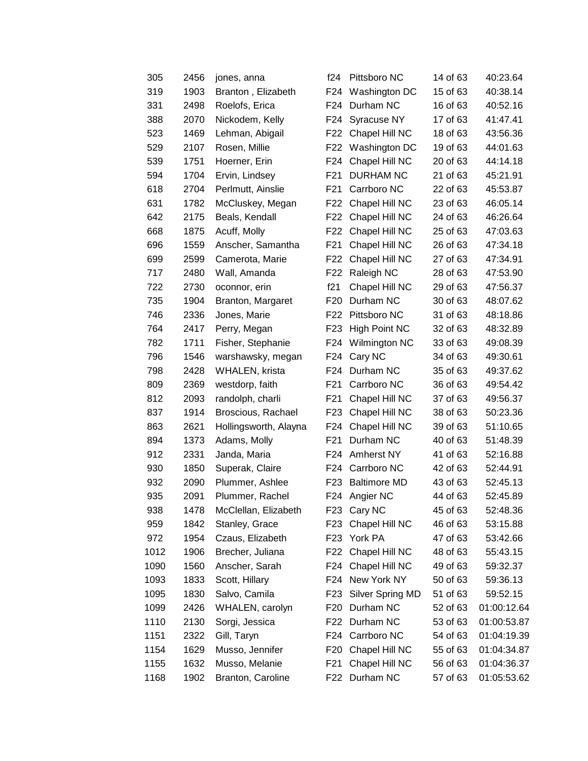| 305  | 2456 | jones, anna           | f24             | Pittsboro NC        | 14 of 63 | 40:23.64    |
|------|------|-----------------------|-----------------|---------------------|----------|-------------|
| 319  | 1903 | Branton, Elizabeth    | F24             | Washington DC       | 15 of 63 | 40:38.14    |
| 331  | 2498 | Roelofs, Erica        | F24             | Durham NC           | 16 of 63 | 40:52.16    |
| 388  | 2070 | Nickodem, Kelly       | F24             | Syracuse NY         | 17 of 63 | 41:47.41    |
| 523  | 1469 | Lehman, Abigail       | F22             | Chapel Hill NC      | 18 of 63 | 43:56.36    |
| 529  | 2107 | Rosen, Millie         | F22             | Washington DC       | 19 of 63 | 44:01.63    |
| 539  | 1751 | Hoerner, Erin         | F24             | Chapel Hill NC      | 20 of 63 | 44:14.18    |
| 594  | 1704 | Ervin, Lindsey        | F21             | <b>DURHAM NC</b>    | 21 of 63 | 45:21.91    |
| 618  | 2704 | Perlmutt, Ainslie     | F21             | Carrboro NC         | 22 of 63 | 45:53.87    |
| 631  | 1782 | McCluskey, Megan      | F <sub>22</sub> | Chapel Hill NC      | 23 of 63 | 46:05.14    |
| 642  | 2175 | Beals, Kendall        | F22             | Chapel Hill NC      | 24 of 63 | 46:26.64    |
| 668  | 1875 | Acuff, Molly          | F22             | Chapel Hill NC      | 25 of 63 | 47:03.63    |
| 696  | 1559 | Anscher, Samantha     | F21             | Chapel Hill NC      | 26 of 63 | 47:34.18    |
| 699  | 2599 | Camerota, Marie       | F22             | Chapel Hill NC      | 27 of 63 | 47:34.91    |
| 717  | 2480 | Wall, Amanda          | F22             | Raleigh NC          | 28 of 63 | 47:53.90    |
| 722  | 2730 | oconnor, erin         | f21             | Chapel Hill NC      | 29 of 63 | 47:56.37    |
| 735  | 1904 | Branton, Margaret     | F <sub>20</sub> | Durham NC           | 30 of 63 | 48:07.62    |
| 746  | 2336 | Jones, Marie          | F <sub>22</sub> | Pittsboro NC        | 31 of 63 | 48:18.86    |
| 764  | 2417 | Perry, Megan          | F23             | High Point NC       | 32 of 63 | 48:32.89    |
| 782  | 1711 | Fisher, Stephanie     | F24             | Wilmington NC       | 33 of 63 | 49:08.39    |
| 796  | 1546 | warshawsky, megan     | F24             | Cary NC             | 34 of 63 | 49:30.61    |
| 798  | 2428 | WHALEN, krista        | F24             | Durham NC           | 35 of 63 | 49:37.62    |
| 809  | 2369 | westdorp, faith       | F <sub>21</sub> | Carrboro NC         | 36 of 63 | 49:54.42    |
| 812  | 2093 | randolph, charli      | F21             | Chapel Hill NC      | 37 of 63 | 49:56.37    |
| 837  | 1914 | Broscious, Rachael    | F <sub>23</sub> | Chapel Hill NC      | 38 of 63 | 50:23.36    |
| 863  | 2621 | Hollingsworth, Alayna | F24             | Chapel Hill NC      | 39 of 63 | 51:10.65    |
| 894  | 1373 | Adams, Molly          | F21             | Durham NC           | 40 of 63 | 51:48.39    |
| 912  | 2331 | Janda, Maria          | F24             | Amherst NY          | 41 of 63 | 52:16.88    |
| 930  | 1850 | Superak, Claire       |                 | F24 Carrboro NC     | 42 of 63 | 52:44.91    |
| 932  | 2090 | Plummer, Ashlee       | F <sub>23</sub> | <b>Baltimore MD</b> | 43 of 63 | 52:45.13    |
| 935  | 2091 | Plummer, Rachel       | F24             | Angier NC           | 44 of 63 | 52:45.89    |
| 938  | 1478 | McClellan, Elizabeth  | F23             | Cary NC             | 45 of 63 | 52:48.36    |
| 959  | 1842 | Stanley, Grace        | F <sub>23</sub> | Chapel Hill NC      | 46 of 63 | 53:15.88    |
| 972  | 1954 | Czaus, Elizabeth      | F <sub>23</sub> | York PA             | 47 of 63 | 53:42.66    |
| 1012 | 1906 | Brecher, Juliana      | F22             | Chapel Hill NC      | 48 of 63 | 55:43.15    |
| 1090 | 1560 | Anscher, Sarah        |                 | F24 Chapel Hill NC  | 49 of 63 | 59:32.37    |
| 1093 | 1833 | Scott, Hillary        | F24             | New York NY         | 50 of 63 | 59:36.13    |
| 1095 | 1830 | Salvo, Camila         | F <sub>23</sub> | Silver Spring MD    | 51 of 63 | 59:52.15    |
| 1099 | 2426 | WHALEN, carolyn       | F <sub>20</sub> | Durham NC           | 52 of 63 | 01:00:12.64 |
| 1110 | 2130 | Sorgi, Jessica        | F22             | Durham NC           | 53 of 63 | 01:00:53.87 |
| 1151 | 2322 | Gill, Taryn           |                 | F24 Carrboro NC     | 54 of 63 | 01:04:19.39 |
| 1154 | 1629 | Musso, Jennifer       | F <sub>20</sub> | Chapel Hill NC      | 55 of 63 | 01:04:34.87 |
| 1155 | 1632 | Musso, Melanie        | F <sub>21</sub> | Chapel Hill NC      | 56 of 63 | 01:04:36.37 |
| 1168 | 1902 | Branton, Caroline     | F22             | Durham NC           | 57 of 63 | 01:05:53.62 |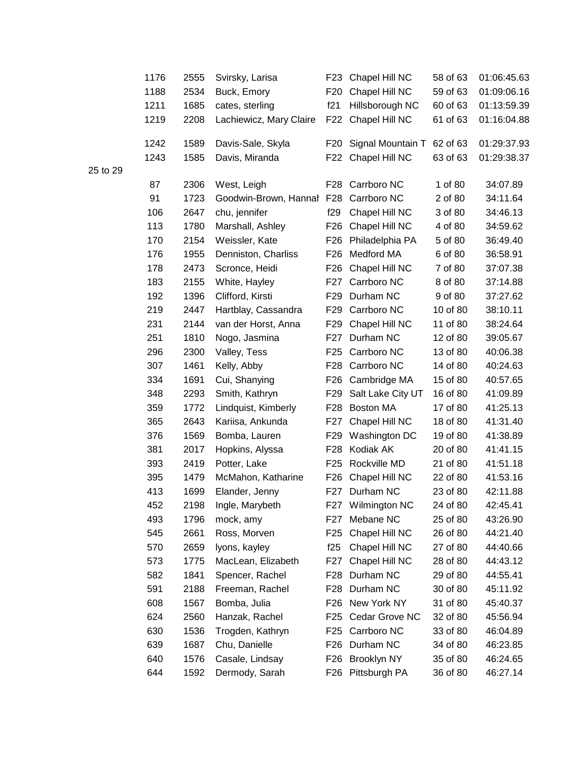| 1176 | 2555 | Svirsky, Larisa           | F23             | Chapel Hill NC     | 58 of 63 | 01:06:45.63 |
|------|------|---------------------------|-----------------|--------------------|----------|-------------|
| 1188 | 2534 | Buck, Emory               | F <sub>20</sub> | Chapel Hill NC     | 59 of 63 | 01:09:06.16 |
| 1211 | 1685 | cates, sterling           | f21             | Hillsborough NC    | 60 of 63 | 01:13:59.39 |
| 1219 | 2208 | Lachiewicz, Mary Claire   | F22             | Chapel Hill NC     | 61 of 63 | 01:16:04.88 |
| 1242 | 1589 | Davis-Sale, Skyla         | F <sub>20</sub> | Signal Mountain T  | 62 of 63 | 01:29:37.93 |
| 1243 | 1585 | Davis, Miranda            |                 | F22 Chapel Hill NC | 63 of 63 | 01:29:38.37 |
| 87   | 2306 | West, Leigh               |                 | F28 Carrboro NC    | 1 of 80  | 34:07.89    |
| 91   | 1723 | Goodwin-Brown, Hannal F28 |                 | Carrboro NC        | 2 of 80  | 34:11.64    |
| 106  | 2647 | chu, jennifer             | f29             | Chapel Hill NC     | 3 of 80  | 34:46.13    |
| 113  | 1780 | Marshall, Ashley          | F <sub>26</sub> | Chapel Hill NC     | 4 of 80  | 34:59.62    |
| 170  | 2154 | Weissler, Kate            | F <sub>26</sub> | Philadelphia PA    | 5 of 80  | 36:49.40    |
| 176  | 1955 | Denniston, Charliss       | F <sub>26</sub> | Medford MA         | 6 of 80  | 36:58.91    |
| 178  | 2473 | Scronce, Heidi            | F <sub>26</sub> | Chapel Hill NC     | 7 of 80  | 37:07.38    |
| 183  | 2155 | White, Hayley             | F27             | Carrboro NC        | 8 of 80  | 37:14.88    |
| 192  | 1396 | Clifford, Kirsti          | F29             | Durham NC          | 9 of 80  | 37:27.62    |
| 219  | 2447 | Hartblay, Cassandra       | F29             | Carrboro NC        | 10 of 80 | 38:10.11    |
| 231  | 2144 | van der Horst, Anna       | F <sub>29</sub> | Chapel Hill NC     | 11 of 80 | 38:24.64    |
| 251  | 1810 | Nogo, Jasmina             | F27             | Durham NC          | 12 of 80 | 39:05.67    |
| 296  | 2300 | Valley, Tess              | F25             | Carrboro NC        | 13 of 80 | 40:06.38    |
| 307  | 1461 | Kelly, Abby               | F28             | Carrboro NC        | 14 of 80 | 40:24.63    |
| 334  | 1691 | Cui, Shanying             | F26             | Cambridge MA       | 15 of 80 | 40:57.65    |
| 348  | 2293 | Smith, Kathryn            | F29             | Salt Lake City UT  | 16 of 80 | 41:09.89    |
| 359  | 1772 | Lindquist, Kimberly       | F28             | Boston MA          | 17 of 80 | 41:25.13    |
| 365  | 2643 | Kariisa, Ankunda          | F27             | Chapel Hill NC     | 18 of 80 | 41:31.40    |
| 376  | 1569 | Bomba, Lauren             | F <sub>29</sub> | Washington DC      | 19 of 80 | 41:38.89    |
| 381  | 2017 | Hopkins, Alyssa           | F28             | Kodiak AK          | 20 of 80 | 41:41.15    |
| 393  | 2419 | Potter, Lake              | F <sub>25</sub> | Rockville MD       | 21 of 80 | 41:51.18    |
| 395  | 1479 | McMahon, Katharine        | F <sub>26</sub> | Chapel Hill NC     | 22 of 80 | 41:53.16    |
| 413  | 1699 | Elander, Jenny            |                 | F27 Durham NC      | 23 of 80 | 42:11.88    |
| 452  | 2198 | Ingle, Marybeth           |                 | F27 Wilmington NC  | 24 of 80 | 42:45.41    |
| 493  | 1796 | mock, amy                 | F27             | Mebane NC          | 25 of 80 | 43:26.90    |
| 545  | 2661 | Ross, Morven              | F <sub>25</sub> | Chapel Hill NC     | 26 of 80 | 44:21.40    |
| 570  | 2659 | lyons, kayley             | f25             | Chapel Hill NC     | 27 of 80 | 44:40.66    |
| 573  | 1775 | MacLean, Elizabeth        | F27             | Chapel Hill NC     | 28 of 80 | 44:43.12    |
| 582  | 1841 | Spencer, Rachel           | F28             | Durham NC          | 29 of 80 | 44:55.41    |
| 591  | 2188 | Freeman, Rachel           | F <sub>28</sub> | Durham NC          | 30 of 80 | 45:11.92    |
| 608  | 1567 | Bomba, Julia              | F <sub>26</sub> | New York NY        | 31 of 80 | 45:40.37    |
| 624  | 2560 | Hanzak, Rachel            | F <sub>25</sub> | Cedar Grove NC     | 32 of 80 | 45:56.94    |
| 630  | 1536 | Trogden, Kathryn          | F <sub>25</sub> | Carrboro NC        | 33 of 80 | 46:04.89    |
| 639  | 1687 | Chu, Danielle             | F <sub>26</sub> | Durham NC          | 34 of 80 | 46:23.85    |
| 640  | 1576 | Casale, Lindsay           | F26             | <b>Brooklyn NY</b> | 35 of 80 | 46:24.65    |
| 644  | 1592 | Dermody, Sarah            | F26             | Pittsburgh PA      | 36 of 80 | 46:27.14    |
|      |      |                           |                 |                    |          |             |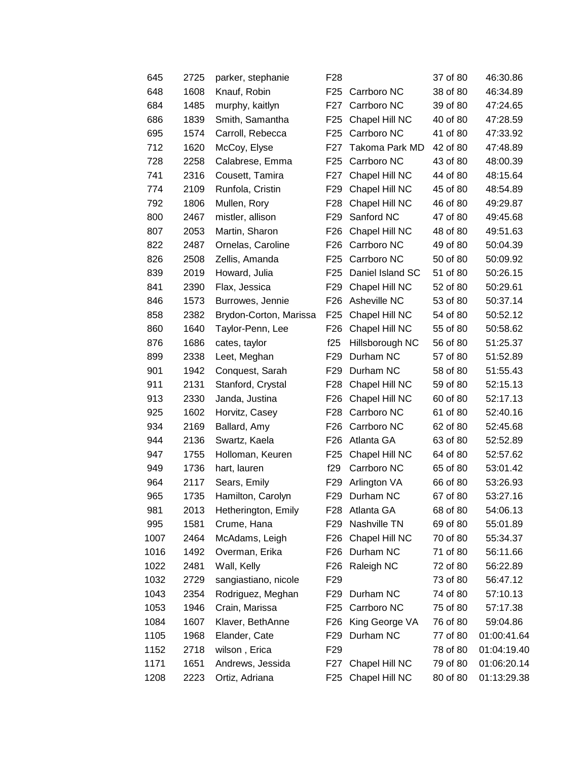| 645  | 2725 | parker, stephanie      | F <sub>28</sub> |                       | 37 of 80 | 46:30.86    |
|------|------|------------------------|-----------------|-----------------------|----------|-------------|
| 648  | 1608 | Knauf, Robin           | F25             | Carrboro NC           | 38 of 80 | 46:34.89    |
| 684  | 1485 | murphy, kaitlyn        | F27             | Carrboro NC           | 39 of 80 | 47:24.65    |
| 686  | 1839 | Smith, Samantha        | F <sub>25</sub> | Chapel Hill NC        | 40 of 80 | 47:28.59    |
| 695  | 1574 | Carroll, Rebecca       | F25             | Carrboro NC           | 41 of 80 | 47:33.92    |
| 712  | 1620 | McCoy, Elyse           | F27             | <b>Takoma Park MD</b> | 42 of 80 | 47:48.89    |
| 728  | 2258 | Calabrese, Emma        | F25             | Carrboro NC           | 43 of 80 | 48:00.39    |
| 741  | 2316 | Cousett, Tamira        | F27             | Chapel Hill NC        | 44 of 80 | 48:15.64    |
| 774  | 2109 | Runfola, Cristin       | F <sub>29</sub> | Chapel Hill NC        | 45 of 80 | 48:54.89    |
| 792  | 1806 | Mullen, Rory           | F <sub>28</sub> | Chapel Hill NC        | 46 of 80 | 49:29.87    |
| 800  | 2467 | mistler, allison       | F <sub>29</sub> | Sanford NC            | 47 of 80 | 49:45.68    |
| 807  | 2053 | Martin, Sharon         | F <sub>26</sub> | Chapel Hill NC        | 48 of 80 | 49:51.63    |
| 822  | 2487 | Ornelas, Caroline      | F26             | Carrboro NC           | 49 of 80 | 50:04.39    |
| 826  | 2508 | Zellis, Amanda         | F25             | Carrboro NC           | 50 of 80 | 50:09.92    |
| 839  | 2019 | Howard, Julia          | F <sub>25</sub> | Daniel Island SC      | 51 of 80 | 50:26.15    |
| 841  | 2390 | Flax, Jessica          | F <sub>29</sub> | Chapel Hill NC        | 52 of 80 | 50:29.61    |
| 846  | 1573 | Burrowes, Jennie       | F <sub>26</sub> | Asheville NC          | 53 of 80 | 50:37.14    |
| 858  | 2382 | Brydon-Corton, Marissa | F <sub>25</sub> | Chapel Hill NC        | 54 of 80 | 50:52.12    |
| 860  | 1640 | Taylor-Penn, Lee       | F <sub>26</sub> | Chapel Hill NC        | 55 of 80 | 50:58.62    |
| 876  | 1686 | cates, taylor          | f25             | Hillsborough NC       | 56 of 80 | 51:25.37    |
| 899  | 2338 | Leet, Meghan           | F <sub>29</sub> | Durham NC             | 57 of 80 | 51:52.89    |
| 901  | 1942 | Conquest, Sarah        | F <sub>29</sub> | Durham NC             | 58 of 80 | 51:55.43    |
| 911  | 2131 | Stanford, Crystal      | F28             | Chapel Hill NC        | 59 of 80 | 52:15.13    |
| 913  | 2330 | Janda, Justina         | F <sub>26</sub> | Chapel Hill NC        | 60 of 80 | 52:17.13    |
| 925  | 1602 | Horvitz, Casey         | F28             | Carrboro NC           | 61 of 80 | 52:40.16    |
| 934  | 2169 | Ballard, Amy           | F26             | Carrboro NC           | 62 of 80 | 52:45.68    |
| 944  | 2136 | Swartz, Kaela          | F26             | Atlanta GA            | 63 of 80 | 52:52.89    |
| 947  | 1755 | Holloman, Keuren       | F <sub>25</sub> | Chapel Hill NC        | 64 of 80 | 52:57.62    |
| 949  | 1736 | hart, lauren           | f29             | Carrboro NC           | 65 of 80 | 53:01.42    |
| 964  | 2117 | Sears, Emily           | F <sub>29</sub> | Arlington VA          | 66 of 80 | 53:26.93    |
| 965  | 1735 | Hamilton, Carolyn      | F <sub>29</sub> | Durham NC             | 67 of 80 | 53:27.16    |
| 981  | 2013 | Hetherington, Emily    | F28             | Atlanta GA            | 68 of 80 | 54:06.13    |
| 995  | 1581 | Crume, Hana            | F <sub>29</sub> | Nashville TN          | 69 of 80 | 55:01.89    |
| 1007 | 2464 | McAdams, Leigh         | F <sub>26</sub> | Chapel Hill NC        | 70 of 80 | 55:34.37    |
| 1016 | 1492 | Overman, Erika         | F <sub>26</sub> | Durham NC             | 71 of 80 | 56:11.66    |
| 1022 | 2481 | Wall, Kelly            | F <sub>26</sub> | Raleigh NC            | 72 of 80 | 56:22.89    |
| 1032 | 2729 | sangiastiano, nicole   | F <sub>29</sub> |                       | 73 of 80 | 56:47.12    |
| 1043 | 2354 | Rodriguez, Meghan      | F29             | Durham NC             | 74 of 80 | 57:10.13    |
| 1053 | 1946 | Crain, Marissa         | F <sub>25</sub> | Carrboro NC           | 75 of 80 | 57:17.38    |
| 1084 | 1607 | Klaver, BethAnne       | F <sub>26</sub> | King George VA        | 76 of 80 | 59:04.86    |
| 1105 | 1968 | Elander, Cate          | F29             | Durham NC             | 77 of 80 | 01:00:41.64 |
| 1152 | 2718 | wilson, Erica          | F <sub>29</sub> |                       | 78 of 80 | 01:04:19.40 |
| 1171 | 1651 | Andrews, Jessida       | F27             | Chapel Hill NC        | 79 of 80 | 01:06:20.14 |
| 1208 | 2223 | Ortiz, Adriana         | F <sub>25</sub> | Chapel Hill NC        | 80 of 80 | 01:13:29.38 |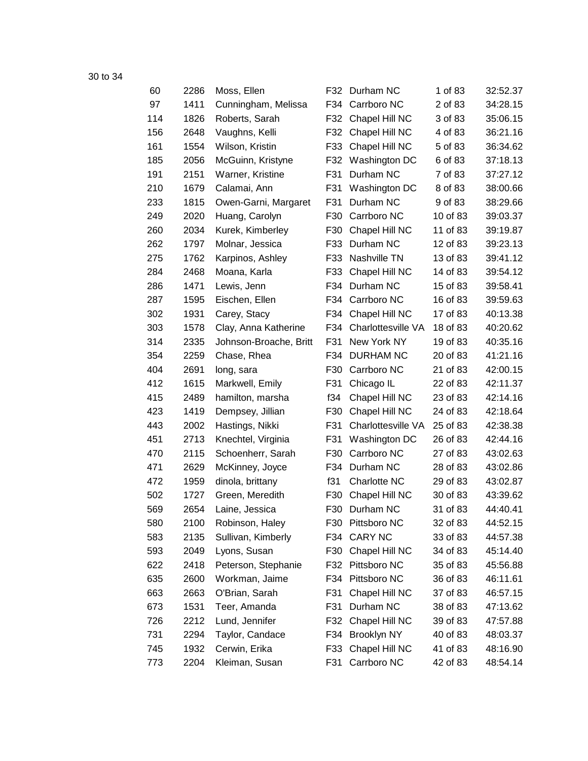| 60  | 2286 | Moss, Ellen            | F32 | Durham NC          | 1 of 83  | 32:52.37 |
|-----|------|------------------------|-----|--------------------|----------|----------|
| 97  | 1411 | Cunningham, Melissa    | F34 | Carrboro NC        | 2 of 83  | 34:28.15 |
| 114 | 1826 | Roberts, Sarah         | F32 | Chapel Hill NC     | 3 of 83  | 35:06.15 |
| 156 | 2648 | Vaughns, Kelli         | F32 | Chapel Hill NC     | 4 of 83  | 36:21.16 |
| 161 | 1554 | Wilson, Kristin        | F33 | Chapel Hill NC     | 5 of 83  | 36:34.62 |
| 185 | 2056 | McGuinn, Kristyne      | F32 | Washington DC      | 6 of 83  | 37:18.13 |
| 191 | 2151 | Warner, Kristine       | F31 | Durham NC          | 7 of 83  | 37:27.12 |
| 210 | 1679 | Calamai, Ann           | F31 | Washington DC      | 8 of 83  | 38:00.66 |
| 233 | 1815 | Owen-Garni, Margaret   | F31 | Durham NC          | 9 of 83  | 38:29.66 |
| 249 | 2020 | Huang, Carolyn         | F30 | Carrboro NC        | 10 of 83 | 39:03.37 |
| 260 | 2034 | Kurek, Kimberley       | F30 | Chapel Hill NC     | 11 of 83 | 39:19.87 |
| 262 | 1797 | Molnar, Jessica        | F33 | Durham NC          | 12 of 83 | 39:23.13 |
| 275 | 1762 | Karpinos, Ashley       | F33 | Nashville TN       | 13 of 83 | 39:41.12 |
| 284 | 2468 | Moana, Karla           | F33 | Chapel Hill NC     | 14 of 83 | 39:54.12 |
| 286 | 1471 | Lewis, Jenn            | F34 | Durham NC          | 15 of 83 | 39:58.41 |
| 287 | 1595 | Eischen, Ellen         | F34 | Carrboro NC        | 16 of 83 | 39:59.63 |
| 302 | 1931 | Carey, Stacy           | F34 | Chapel Hill NC     | 17 of 83 | 40:13.38 |
| 303 | 1578 | Clay, Anna Katherine   | F34 | Charlottesville VA | 18 of 83 | 40:20.62 |
| 314 | 2335 | Johnson-Broache, Britt | F31 | New York NY        | 19 of 83 | 40:35.16 |
| 354 | 2259 | Chase, Rhea            | F34 | <b>DURHAM NC</b>   | 20 of 83 | 41:21.16 |
| 404 | 2691 | long, sara             | F30 | Carrboro NC        | 21 of 83 | 42:00.15 |
| 412 | 1615 | Markwell, Emily        | F31 | Chicago IL         | 22 of 83 | 42:11.37 |
| 415 | 2489 | hamilton, marsha       | f34 | Chapel Hill NC     | 23 of 83 | 42:14.16 |
| 423 | 1419 | Dempsey, Jillian       | F30 | Chapel Hill NC     | 24 of 83 | 42:18.64 |
| 443 | 2002 | Hastings, Nikki        | F31 | Charlottesville VA | 25 of 83 | 42:38.38 |
| 451 | 2713 | Knechtel, Virginia     | F31 | Washington DC      | 26 of 83 | 42:44.16 |
| 470 | 2115 | Schoenherr, Sarah      | F30 | Carrboro NC        | 27 of 83 | 43:02.63 |
| 471 | 2629 | McKinney, Joyce        | F34 | Durham NC          | 28 of 83 | 43:02.86 |
| 472 | 1959 | dinola, brittany       | f31 | Charlotte NC       | 29 of 83 | 43:02.87 |
| 502 | 1727 | Green, Meredith        | F30 | Chapel Hill NC     | 30 of 83 | 43:39.62 |
| 569 | 2654 | Laine, Jessica         | F30 | Durham NC          | 31 of 83 | 44:40.41 |
| 580 | 2100 | Robinson, Haley        | F30 | Pittsboro NC       | 32 of 83 | 44:52.15 |
| 583 | 2135 | Sullivan, Kimberly     | F34 | <b>CARY NC</b>     | 33 of 83 | 44:57.38 |
| 593 | 2049 | Lyons, Susan           | F30 | Chapel Hill NC     | 34 of 83 | 45:14.40 |
| 622 | 2418 | Peterson, Stephanie    | F32 | Pittsboro NC       | 35 of 83 | 45:56.88 |
| 635 | 2600 | Workman, Jaime         | F34 | Pittsboro NC       | 36 of 83 | 46:11.61 |
| 663 | 2663 | O'Brian, Sarah         | F31 | Chapel Hill NC     | 37 of 83 | 46:57.15 |
| 673 | 1531 | Teer, Amanda           | F31 | Durham NC          | 38 of 83 | 47:13.62 |
| 726 | 2212 | Lund, Jennifer         | F32 | Chapel Hill NC     | 39 of 83 | 47:57.88 |
| 731 | 2294 | Taylor, Candace        | F34 | <b>Brooklyn NY</b> | 40 of 83 | 48:03.37 |
| 745 | 1932 | Cerwin, Erika          | F33 | Chapel Hill NC     | 41 of 83 | 48:16.90 |
| 773 | 2204 | Kleiman, Susan         | F31 | Carrboro NC        | 42 of 83 | 48:54.14 |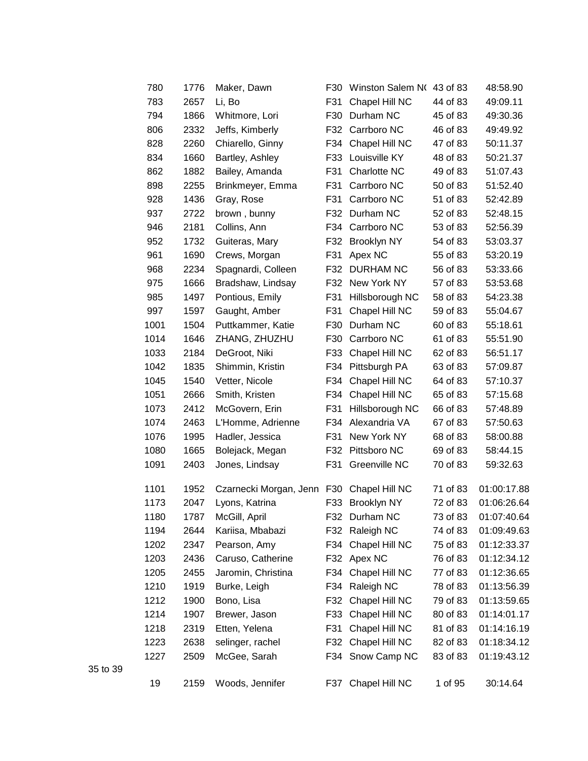| 780  | 1776 | Maker, Dawn                | F30 | Winston Salem NO   | 43 of 83 | 48:58.90    |
|------|------|----------------------------|-----|--------------------|----------|-------------|
| 783  | 2657 | Li, Bo                     | F31 | Chapel Hill NC     | 44 of 83 | 49:09.11    |
| 794  | 1866 | Whitmore, Lori             | F30 | Durham NC          | 45 of 83 | 49:30.36    |
| 806  | 2332 | Jeffs, Kimberly            | F32 | Carrboro NC        | 46 of 83 | 49:49.92    |
| 828  | 2260 | Chiarello, Ginny           | F34 | Chapel Hill NC     | 47 of 83 | 50:11.37    |
| 834  | 1660 | Bartley, Ashley            | F33 | Louisville KY      | 48 of 83 | 50:21.37    |
| 862  | 1882 | Bailey, Amanda             | F31 | Charlotte NC       | 49 of 83 | 51:07.43    |
| 898  | 2255 | Brinkmeyer, Emma           | F31 | Carrboro NC        | 50 of 83 | 51:52.40    |
| 928  | 1436 | Gray, Rose                 | F31 | Carrboro NC        | 51 of 83 | 52:42.89    |
| 937  | 2722 | brown, bunny               | F32 | Durham NC          | 52 of 83 | 52:48.15    |
| 946  | 2181 | Collins, Ann               | F34 | Carrboro NC        | 53 of 83 | 52:56.39    |
| 952  | 1732 | Guiteras, Mary             | F32 | Brooklyn NY        | 54 of 83 | 53:03.37    |
| 961  | 1690 | Crews, Morgan              | F31 | Apex NC            | 55 of 83 | 53:20.19    |
| 968  | 2234 | Spagnardi, Colleen         | F32 | <b>DURHAM NC</b>   | 56 of 83 | 53:33.66    |
| 975  | 1666 | Bradshaw, Lindsay          | F32 | New York NY        | 57 of 83 | 53:53.68    |
| 985  | 1497 | Pontious, Emily            | F31 | Hillsborough NC    | 58 of 83 | 54:23.38    |
| 997  | 1597 | Gaught, Amber              | F31 | Chapel Hill NC     | 59 of 83 | 55:04.67    |
| 1001 | 1504 | Puttkammer, Katie          | F30 | Durham NC          | 60 of 83 | 55:18.61    |
| 1014 | 1646 | ZHANG, ZHUZHU              | F30 | Carrboro NC        | 61 of 83 | 55:51.90    |
| 1033 | 2184 | DeGroot, Niki              | F33 | Chapel Hill NC     | 62 of 83 | 56:51.17    |
| 1042 | 1835 | Shimmin, Kristin           | F34 | Pittsburgh PA      | 63 of 83 | 57:09.87    |
| 1045 | 1540 | Vetter, Nicole             | F34 | Chapel Hill NC     | 64 of 83 | 57:10.37    |
| 1051 | 2666 | Smith, Kristen             | F34 | Chapel Hill NC     | 65 of 83 | 57:15.68    |
| 1073 | 2412 | McGovern, Erin             | F31 | Hillsborough NC    | 66 of 83 | 57:48.89    |
| 1074 | 2463 | L'Homme, Adrienne          | F34 | Alexandria VA      | 67 of 83 | 57:50.63    |
| 1076 | 1995 | Hadler, Jessica            | F31 | New York NY        | 68 of 83 | 58:00.88    |
| 1080 | 1665 | Bolejack, Megan            | F32 | Pittsboro NC       | 69 of 83 | 58:44.15    |
| 1091 | 2403 | Jones, Lindsay             | F31 | Greenville NC      | 70 of 83 | 59:32.63    |
| 1101 | 1952 | Czarnecki Morgan, Jenn F30 |     | Chapel Hill NC     | 71 of 83 | 01:00:17.88 |
| 1173 | 2047 | Lyons, Katrina             | F33 | <b>Brooklyn NY</b> | 72 of 83 | 01:06:26.64 |
| 1180 | 1787 | McGill, April              |     | F32 Durham NC      | 73 of 83 | 01:07:40.64 |
| 1194 | 2644 | Kariisa, Mbabazi           |     | F32 Raleigh NC     | 74 of 83 | 01:09:49.63 |
| 1202 | 2347 | Pearson, Amy               | F34 | Chapel Hill NC     | 75 of 83 | 01:12:33.37 |
| 1203 | 2436 | Caruso, Catherine          |     | F32 Apex NC        | 76 of 83 | 01:12:34.12 |
| 1205 | 2455 | Jaromin, Christina         | F34 | Chapel Hill NC     | 77 of 83 | 01:12:36.65 |
| 1210 | 1919 | Burke, Leigh               | F34 | Raleigh NC         | 78 of 83 | 01:13:56.39 |
| 1212 | 1900 | Bono, Lisa                 | F32 | Chapel Hill NC     | 79 of 83 | 01:13:59.65 |
| 1214 | 1907 | Brewer, Jason              | F33 | Chapel Hill NC     | 80 of 83 | 01:14:01.17 |
| 1218 | 2319 | Etten, Yelena              | F31 | Chapel Hill NC     | 81 of 83 | 01:14:16.19 |
| 1223 | 2638 | selinger, rachel           | F32 | Chapel Hill NC     | 82 of 83 | 01:18:34.12 |
| 1227 | 2509 | McGee, Sarah               | F34 | Snow Camp NC       | 83 of 83 | 01:19:43.12 |
| 19   | 2159 | Woods, Jennifer            | F37 | Chapel Hill NC     | 1 of 95  | 30:14.64    |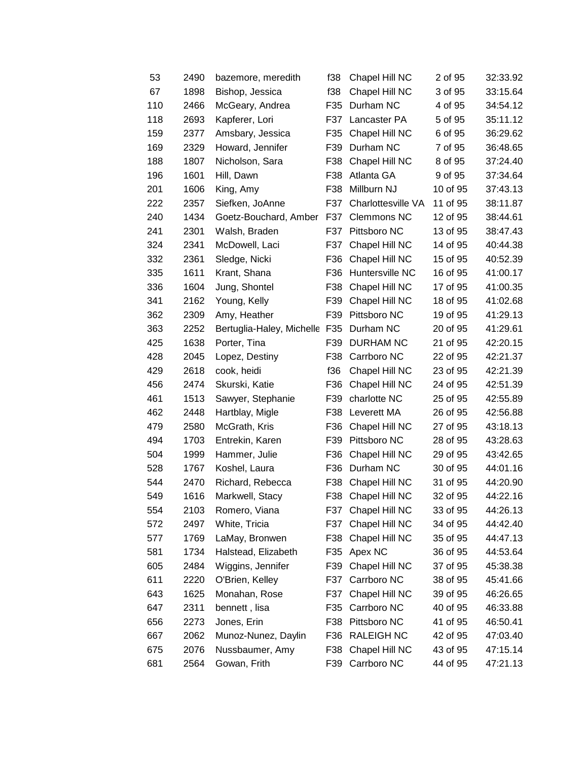| 53  | 2490 | bazemore, meredith            | f38 | Chapel Hill NC     | 2 of 95  | 32:33.92 |
|-----|------|-------------------------------|-----|--------------------|----------|----------|
| 67  | 1898 | Bishop, Jessica               | f38 | Chapel Hill NC     | 3 of 95  | 33:15.64 |
| 110 | 2466 | McGeary, Andrea               | F35 | Durham NC          | 4 of 95  | 34:54.12 |
| 118 | 2693 | Kapferer, Lori                | F37 | Lancaster PA       | 5 of 95  | 35:11.12 |
| 159 | 2377 | Amsbary, Jessica              | F35 | Chapel Hill NC     | 6 of 95  | 36:29.62 |
| 169 | 2329 | Howard, Jennifer              | F39 | Durham NC          | 7 of 95  | 36:48.65 |
| 188 | 1807 | Nicholson, Sara               | F38 | Chapel Hill NC     | 8 of 95  | 37:24.40 |
| 196 | 1601 | Hill, Dawn                    | F38 | Atlanta GA         | 9 of 95  | 37:34.64 |
| 201 | 1606 | King, Amy                     | F38 | Millburn NJ        | 10 of 95 | 37:43.13 |
| 222 | 2357 | Siefken, JoAnne               | F37 | Charlottesville VA | 11 of 95 | 38:11.87 |
| 240 | 1434 | Goetz-Bouchard, Amber         | F37 | <b>Clemmons NC</b> | 12 of 95 | 38:44.61 |
| 241 | 2301 | Walsh, Braden                 | F37 | Pittsboro NC       | 13 of 95 | 38:47.43 |
| 324 | 2341 | McDowell, Laci                | F37 | Chapel Hill NC     | 14 of 95 | 40:44.38 |
| 332 | 2361 | Sledge, Nicki                 | F36 | Chapel Hill NC     | 15 of 95 | 40:52.39 |
| 335 | 1611 | Krant, Shana                  | F36 | Huntersville NC    | 16 of 95 | 41:00.17 |
| 336 | 1604 | Jung, Shontel                 | F38 | Chapel Hill NC     | 17 of 95 | 41:00.35 |
| 341 | 2162 | Young, Kelly                  | F39 | Chapel Hill NC     | 18 of 95 | 41:02.68 |
| 362 | 2309 | Amy, Heather                  | F39 | Pittsboro NC       | 19 of 95 | 41:29.13 |
| 363 | 2252 | Bertuglia-Haley, Michelle F35 |     | Durham NC          | 20 of 95 | 41:29.61 |
| 425 | 1638 | Porter, Tina                  | F39 | DURHAM NC          | 21 of 95 | 42:20.15 |
| 428 | 2045 | Lopez, Destiny                | F38 | Carrboro NC        | 22 of 95 | 42:21.37 |
| 429 | 2618 | cook, heidi                   | f36 | Chapel Hill NC     | 23 of 95 | 42:21.39 |
| 456 | 2474 | Skurski, Katie                | F36 | Chapel Hill NC     | 24 of 95 | 42:51.39 |
| 461 | 1513 | Sawyer, Stephanie             | F39 | charlotte NC       | 25 of 95 | 42:55.89 |
| 462 | 2448 | Hartblay, Migle               | F38 | Leverett MA        | 26 of 95 | 42:56.88 |
| 479 | 2580 | McGrath, Kris                 | F36 | Chapel Hill NC     | 27 of 95 | 43:18.13 |
| 494 | 1703 | Entrekin, Karen               | F39 | Pittsboro NC       | 28 of 95 | 43:28.63 |
| 504 | 1999 | Hammer, Julie                 | F36 | Chapel Hill NC     | 29 of 95 | 43:42.65 |
| 528 | 1767 | Koshel, Laura                 | F36 | Durham NC          | 30 of 95 | 44:01.16 |
| 544 | 2470 | Richard, Rebecca              | F38 | Chapel Hill NC     | 31 of 95 | 44:20.90 |
| 549 | 1616 | Markwell, Stacy               | F38 | Chapel Hill NC     | 32 of 95 | 44:22.16 |
| 554 | 2103 | Romero, Viana                 | F37 | Chapel Hill NC     | 33 of 95 | 44:26.13 |
| 572 | 2497 | White, Tricia                 | F37 | Chapel Hill NC     | 34 of 95 | 44:42.40 |
| 577 | 1769 | LaMay, Bronwen                | F38 | Chapel Hill NC     | 35 of 95 | 44:47.13 |
| 581 | 1734 | Halstead, Elizabeth           | F35 | Apex NC            | 36 of 95 | 44:53.64 |
| 605 | 2484 | Wiggins, Jennifer             | F39 | Chapel Hill NC     | 37 of 95 | 45:38.38 |
| 611 | 2220 | O'Brien, Kelley               | F37 | Carrboro NC        | 38 of 95 | 45:41.66 |
| 643 | 1625 | Monahan, Rose                 | F37 | Chapel Hill NC     | 39 of 95 | 46:26.65 |
| 647 | 2311 | bennett, lisa                 | F35 | Carrboro NC        | 40 of 95 | 46:33.88 |
| 656 | 2273 | Jones, Erin                   | F38 | Pittsboro NC       | 41 of 95 | 46:50.41 |
| 667 | 2062 | Munoz-Nunez, Daylin           | F36 | <b>RALEIGH NC</b>  | 42 of 95 | 47:03.40 |
| 675 | 2076 | Nussbaumer, Amy               | F38 | Chapel Hill NC     | 43 of 95 | 47:15.14 |
| 681 | 2564 | Gowan, Frith                  | F39 | Carrboro NC        | 44 of 95 | 47:21.13 |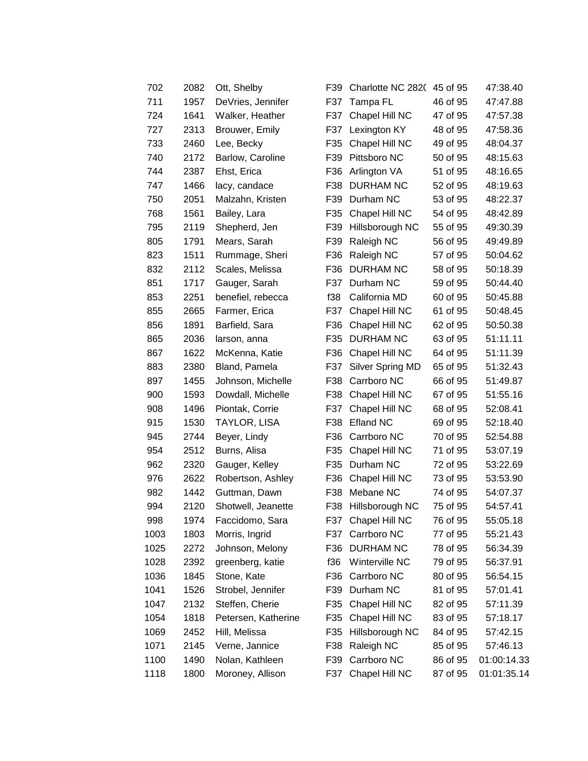| 702  | 2082 | Ott, Shelby         | F39 | Charlotte NC 2820 | 45 of 95 | 47:38.40    |
|------|------|---------------------|-----|-------------------|----------|-------------|
| 711  | 1957 | DeVries, Jennifer   | F37 | Tampa FL          | 46 of 95 | 47:47.88    |
| 724  | 1641 | Walker, Heather     | F37 | Chapel Hill NC    | 47 of 95 | 47:57.38    |
| 727  | 2313 | Brouwer, Emily      | F37 | Lexington KY      | 48 of 95 | 47:58.36    |
| 733  | 2460 | Lee, Becky          | F35 | Chapel Hill NC    | 49 of 95 | 48:04.37    |
| 740  | 2172 | Barlow, Caroline    | F39 | Pittsboro NC      | 50 of 95 | 48:15.63    |
| 744  | 2387 | Ehst, Erica         | F36 | Arlington VA      | 51 of 95 | 48:16.65    |
| 747  | 1466 | lacy, candace       | F38 | <b>DURHAM NC</b>  | 52 of 95 | 48:19.63    |
| 750  | 2051 | Malzahn, Kristen    | F39 | Durham NC         | 53 of 95 | 48:22.37    |
| 768  | 1561 | Bailey, Lara        | F35 | Chapel Hill NC    | 54 of 95 | 48:42.89    |
| 795  | 2119 | Shepherd, Jen       | F39 | Hillsborough NC   | 55 of 95 | 49:30.39    |
| 805  | 1791 | Mears, Sarah        | F39 | Raleigh NC        | 56 of 95 | 49:49.89    |
| 823  | 1511 | Rummage, Sheri      | F36 | Raleigh NC        | 57 of 95 | 50:04.62    |
| 832  | 2112 | Scales, Melissa     | F36 | DURHAM NC         | 58 of 95 | 50:18.39    |
| 851  | 1717 | Gauger, Sarah       | F37 | Durham NC         | 59 of 95 | 50:44.40    |
| 853  | 2251 | benefiel, rebecca   | f38 | California MD     | 60 of 95 | 50:45.88    |
| 855  | 2665 | Farmer, Erica       | F37 | Chapel Hill NC    | 61 of 95 | 50:48.45    |
| 856  | 1891 | Barfield, Sara      | F36 | Chapel Hill NC    | 62 of 95 | 50:50.38    |
| 865  | 2036 | larson, anna        | F35 | DURHAM NC         | 63 of 95 | 51:11.11    |
| 867  | 1622 | McKenna, Katie      | F36 | Chapel Hill NC    | 64 of 95 | 51:11.39    |
| 883  | 2380 | Bland, Pamela       | F37 | Silver Spring MD  | 65 of 95 | 51:32.43    |
| 897  | 1455 | Johnson, Michelle   | F38 | Carrboro NC       | 66 of 95 | 51:49.87    |
| 900  | 1593 | Dowdall, Michelle   | F38 | Chapel Hill NC    | 67 of 95 | 51:55.16    |
| 908  | 1496 | Piontak, Corrie     | F37 | Chapel Hill NC    | 68 of 95 | 52:08.41    |
| 915  | 1530 | TAYLOR, LISA        | F38 | <b>Efland NC</b>  | 69 of 95 | 52:18.40    |
| 945  | 2744 | Beyer, Lindy        | F36 | Carrboro NC       | 70 of 95 | 52:54.88    |
| 954  | 2512 | Burns, Alisa        | F35 | Chapel Hill NC    | 71 of 95 | 53:07.19    |
| 962  | 2320 | Gauger, Kelley      | F35 | Durham NC         | 72 of 95 | 53:22.69    |
| 976  | 2622 | Robertson, Ashley   | F36 | Chapel Hill NC    | 73 of 95 | 53:53.90    |
| 982  | 1442 | Guttman, Dawn       | F38 | Mebane NC         | 74 of 95 | 54:07.37    |
| 994  | 2120 | Shotwell, Jeanette  | F38 | Hillsborough NC   | 75 of 95 | 54:57.41    |
| 998  | 1974 | Faccidomo, Sara     | F37 | Chapel Hill NC    | 76 of 95 | 55:05.18    |
| 1003 | 1803 | Morris, Ingrid      | F37 | Carrboro NC       | 77 of 95 | 55:21.43    |
| 1025 | 2272 | Johnson, Melony     | F36 | <b>DURHAM NC</b>  | 78 of 95 | 56:34.39    |
| 1028 | 2392 | greenberg, katie    | f36 | Winterville NC    | 79 of 95 | 56:37.91    |
| 1036 | 1845 | Stone, Kate         | F36 | Carrboro NC       | 80 of 95 | 56:54.15    |
| 1041 | 1526 | Strobel, Jennifer   | F39 | Durham NC         | 81 of 95 | 57:01.41    |
| 1047 | 2132 | Steffen, Cherie     | F35 | Chapel Hill NC    | 82 of 95 | 57:11.39    |
| 1054 | 1818 | Petersen, Katherine | F35 | Chapel Hill NC    | 83 of 95 | 57:18.17    |
| 1069 | 2452 | Hill, Melissa       | F35 | Hillsborough NC   | 84 of 95 | 57:42.15    |
| 1071 | 2145 | Verne, Jannice      | F38 | Raleigh NC        | 85 of 95 | 57:46.13    |
| 1100 | 1490 | Nolan, Kathleen     | F39 | Carrboro NC       | 86 of 95 | 01:00:14.33 |
| 1118 | 1800 | Moroney, Allison    | F37 | Chapel Hill NC    | 87 of 95 | 01:01:35.14 |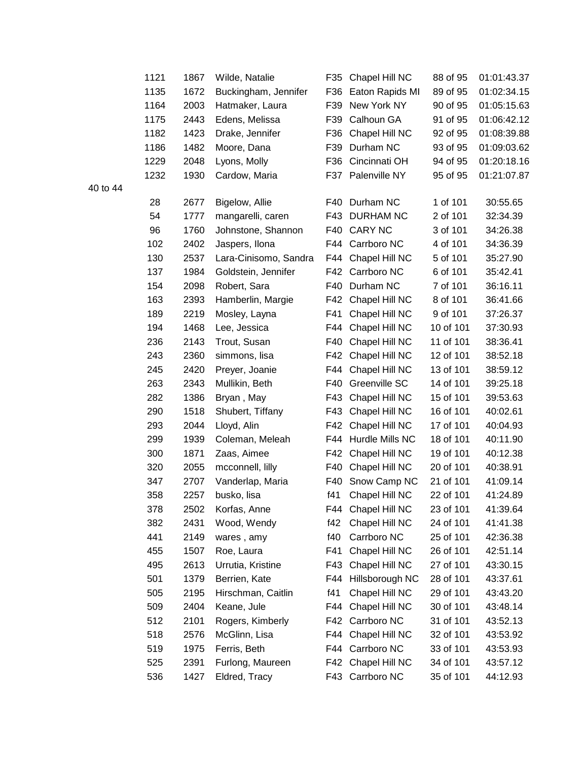| 1121 | 1867 | Wilde, Natalie        | F35 | Chapel Hill NC     | 88 of 95  | 01:01:43.37 |
|------|------|-----------------------|-----|--------------------|-----------|-------------|
| 1135 | 1672 | Buckingham, Jennifer  | F36 | Eaton Rapids MI    | 89 of 95  | 01:02:34.15 |
| 1164 | 2003 | Hatmaker, Laura       | F39 | New York NY        | 90 of 95  | 01:05:15.63 |
| 1175 | 2443 | Edens, Melissa        | F39 | Calhoun GA         | 91 of 95  | 01:06:42.12 |
| 1182 | 1423 | Drake, Jennifer       | F36 | Chapel Hill NC     | 92 of 95  | 01:08:39.88 |
| 1186 | 1482 | Moore, Dana           | F39 | Durham NC          | 93 of 95  | 01:09:03.62 |
| 1229 | 2048 | Lyons, Molly          | F36 | Cincinnati OH      | 94 of 95  | 01:20:18.16 |
| 1232 | 1930 | Cardow, Maria         | F37 | Palenville NY      | 95 of 95  | 01:21:07.87 |
| 28   | 2677 | Bigelow, Allie        | F40 | Durham NC          | 1 of 101  | 30:55.65    |
| 54   | 1777 | mangarelli, caren     | F43 | <b>DURHAM NC</b>   | 2 of 101  | 32:34.39    |
| 96   | 1760 | Johnstone, Shannon    | F40 | <b>CARY NC</b>     | 3 of 101  | 34:26.38    |
| 102  | 2402 | Jaspers, Ilona        | F44 | Carrboro NC        | 4 of 101  | 34:36.39    |
| 130  | 2537 | Lara-Cinisomo, Sandra | F44 | Chapel Hill NC     | 5 of 101  | 35:27.90    |
| 137  | 1984 | Goldstein, Jennifer   | F42 | Carrboro NC        | 6 of 101  | 35:42.41    |
| 154  | 2098 | Robert, Sara          | F40 | Durham NC          | 7 of 101  | 36:16.11    |
| 163  | 2393 | Hamberlin, Margie     | F42 | Chapel Hill NC     | 8 of 101  | 36:41.66    |
| 189  | 2219 | Mosley, Layna         | F41 | Chapel Hill NC     | 9 of 101  | 37:26.37    |
| 194  | 1468 | Lee, Jessica          | F44 | Chapel Hill NC     | 10 of 101 | 37:30.93    |
| 236  | 2143 | Trout, Susan          | F40 | Chapel Hill NC     | 11 of 101 | 38:36.41    |
| 243  | 2360 | simmons, lisa         | F42 | Chapel Hill NC     | 12 of 101 | 38:52.18    |
| 245  | 2420 | Preyer, Joanie        | F44 | Chapel Hill NC     | 13 of 101 | 38:59.12    |
| 263  | 2343 | Mullikin, Beth        | F40 | Greenville SC      | 14 of 101 | 39:25.18    |
| 282  | 1386 | Bryan, May            | F43 | Chapel Hill NC     | 15 of 101 | 39:53.63    |
| 290  | 1518 | Shubert, Tiffany      | F43 | Chapel Hill NC     | 16 of 101 | 40:02.61    |
| 293  | 2044 | Lloyd, Alin           | F42 | Chapel Hill NC     | 17 of 101 | 40:04.93    |
| 299  | 1939 | Coleman, Meleah       | F44 | Hurdle Mills NC    | 18 of 101 | 40:11.90    |
| 300  | 1871 | Zaas, Aimee           | F42 | Chapel Hill NC     | 19 of 101 | 40:12.38    |
| 320  | 2055 | mcconnell, lilly      | F40 | Chapel Hill NC     | 20 of 101 | 40:38.91    |
| 347  | 2707 | Vanderlap, Maria      | F40 | Snow Camp NC       | 21 of 101 | 41:09.14    |
| 358  | 2257 | busko, lisa           | f41 | Chapel Hill NC     | 22 of 101 | 41:24.89    |
| 378  | 2502 | Korfas, Anne          | F44 | Chapel Hill NC     | 23 of 101 | 41:39.64    |
| 382  | 2431 | Wood, Wendy           | f42 | Chapel Hill NC     | 24 of 101 | 41:41.38    |
| 441  | 2149 | wares, amy            | f40 | Carrboro NC        | 25 of 101 | 42:36.38    |
| 455  | 1507 | Roe, Laura            | F41 | Chapel Hill NC     | 26 of 101 | 42:51.14    |
| 495  | 2613 | Urrutia, Kristine     | F43 | Chapel Hill NC     | 27 of 101 | 43:30.15    |
| 501  | 1379 | Berrien, Kate         | F44 | Hillsborough NC    | 28 of 101 | 43:37.61    |
| 505  | 2195 | Hirschman, Caitlin    | f41 | Chapel Hill NC     | 29 of 101 | 43:43.20    |
| 509  | 2404 | Keane, Jule           | F44 | Chapel Hill NC     | 30 of 101 | 43:48.14    |
| 512  | 2101 | Rogers, Kimberly      | F42 | Carrboro NC        | 31 of 101 | 43:52.13    |
| 518  | 2576 | McGlinn, Lisa         | F44 | Chapel Hill NC     | 32 of 101 | 43:53.92    |
| 519  | 1975 | Ferris, Beth          | F44 | Carrboro NC        | 33 of 101 | 43:53.93    |
| 525  | 2391 | Furlong, Maureen      |     | F42 Chapel Hill NC | 34 of 101 | 43:57.12    |
| 536  | 1427 | Eldred, Tracy         | F43 | Carrboro NC        | 35 of 101 | 44:12.93    |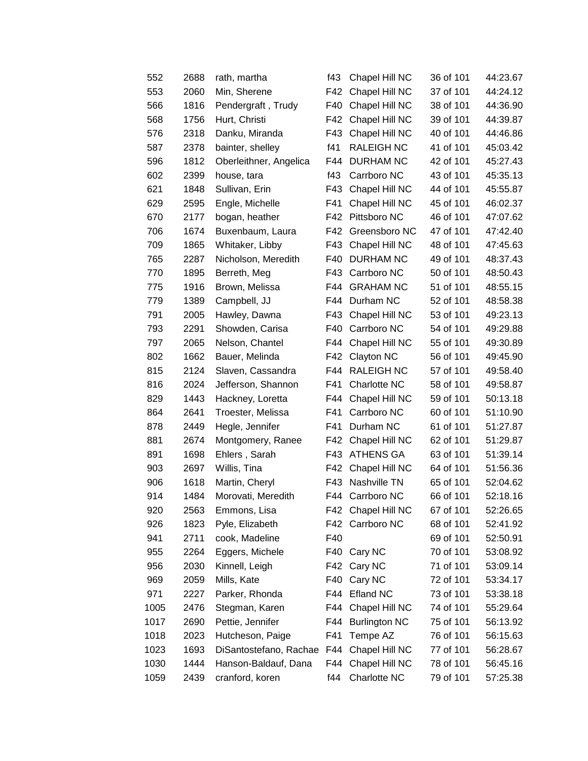| 552  | 2688 | rath, martha           | f43 | Chapel Hill NC       | 36 of 101 | 44:23.67 |
|------|------|------------------------|-----|----------------------|-----------|----------|
| 553  | 2060 | Min, Sherene           | F42 | Chapel Hill NC       | 37 of 101 | 44:24.12 |
| 566  | 1816 | Pendergraft, Trudy     | F40 | Chapel Hill NC       | 38 of 101 | 44:36.90 |
| 568  | 1756 | Hurt, Christi          | F42 | Chapel Hill NC       | 39 of 101 | 44:39.87 |
| 576  | 2318 | Danku, Miranda         | F43 | Chapel Hill NC       | 40 of 101 | 44:46.86 |
| 587  | 2378 | bainter, shelley       | f41 | <b>RALEIGH NC</b>    | 41 of 101 | 45:03.42 |
| 596  | 1812 | Oberleithner, Angelica | F44 | <b>DURHAM NC</b>     | 42 of 101 | 45:27.43 |
| 602  | 2399 | house, tara            | f43 | Carrboro NC          | 43 of 101 | 45:35.13 |
| 621  | 1848 | Sullivan, Erin         | F43 | Chapel Hill NC       | 44 of 101 | 45:55.87 |
| 629  | 2595 | Engle, Michelle        | F41 | Chapel Hill NC       | 45 of 101 | 46:02.37 |
| 670  | 2177 | bogan, heather         | F42 | Pittsboro NC         | 46 of 101 | 47:07.62 |
| 706  | 1674 | Buxenbaum, Laura       | F42 | Greensboro NC        | 47 of 101 | 47:42.40 |
| 709  | 1865 | Whitaker, Libby        | F43 | Chapel Hill NC       | 48 of 101 | 47:45.63 |
| 765  | 2287 | Nicholson, Meredith    | F40 | <b>DURHAM NC</b>     | 49 of 101 | 48:37.43 |
| 770  | 1895 | Berreth, Meg           | F43 | Carrboro NC          | 50 of 101 | 48:50.43 |
| 775  | 1916 | Brown, Melissa         | F44 | <b>GRAHAM NC</b>     | 51 of 101 | 48:55.15 |
| 779  | 1389 | Campbell, JJ           | F44 | Durham NC            | 52 of 101 | 48:58.38 |
| 791  | 2005 | Hawley, Dawna          | F43 | Chapel Hill NC       | 53 of 101 | 49:23.13 |
| 793  | 2291 | Showden, Carisa        | F40 | Carrboro NC          | 54 of 101 | 49:29.88 |
| 797  | 2065 | Nelson, Chantel        | F44 | Chapel Hill NC       | 55 of 101 | 49:30.89 |
| 802  | 1662 | Bauer, Melinda         | F42 | Clayton NC           | 56 of 101 | 49:45.90 |
| 815  | 2124 | Slaven, Cassandra      | F44 | <b>RALEIGH NC</b>    | 57 of 101 | 49:58.40 |
| 816  | 2024 | Jefferson, Shannon     | F41 | <b>Charlotte NC</b>  | 58 of 101 | 49:58.87 |
| 829  | 1443 | Hackney, Loretta       | F44 | Chapel Hill NC       | 59 of 101 | 50:13.18 |
| 864  | 2641 | Troester, Melissa      | F41 | Carrboro NC          | 60 of 101 | 51:10.90 |
| 878  | 2449 | Hegle, Jennifer        | F41 | Durham NC            | 61 of 101 | 51:27.87 |
| 881  | 2674 | Montgomery, Ranee      | F42 | Chapel Hill NC       | 62 of 101 | 51:29.87 |
| 891  | 1698 | Ehlers, Sarah          | F43 | <b>ATHENS GA</b>     | 63 of 101 | 51:39.14 |
| 903  | 2697 | Willis, Tina           | F42 | Chapel Hill NC       | 64 of 101 | 51:56.36 |
| 906  | 1618 | Martin, Cheryl         | F43 | Nashville TN         | 65 of 101 | 52:04.62 |
| 914  | 1484 | Morovati, Meredith     | F44 | Carrboro NC          | 66 of 101 | 52:18.16 |
| 920  | 2563 | Emmons, Lisa           | F42 | Chapel Hill NC       | 67 of 101 | 52:26.65 |
| 926  | 1823 | Pyle, Elizabeth        | F42 | Carrboro NC          | 68 of 101 | 52:41.92 |
| 941  | 2711 | cook, Madeline         | F40 |                      | 69 of 101 | 52:50.91 |
| 955  | 2264 | Eggers, Michele        | F40 | Cary NC              | 70 of 101 | 53:08.92 |
| 956  | 2030 | Kinnell, Leigh         | F42 | Cary NC              | 71 of 101 | 53:09.14 |
| 969  | 2059 | Mills, Kate            | F40 | Cary NC              | 72 of 101 | 53:34.17 |
| 971  | 2227 | Parker, Rhonda         | F44 | <b>Efland NC</b>     | 73 of 101 | 53:38.18 |
| 1005 | 2476 | Stegman, Karen         | F44 | Chapel Hill NC       | 74 of 101 | 55:29.64 |
| 1017 | 2690 | Pettie, Jennifer       | F44 | <b>Burlington NC</b> | 75 of 101 | 56:13.92 |
| 1018 | 2023 | Hutcheson, Paige       | F41 | Tempe AZ             | 76 of 101 | 56:15.63 |
| 1023 | 1693 | DiSantostefano, Rachae | F44 | Chapel Hill NC       | 77 of 101 | 56:28.67 |
| 1030 | 1444 | Hanson-Baldauf, Dana   | F44 | Chapel Hill NC       | 78 of 101 | 56:45.16 |
| 1059 | 2439 | cranford, koren        | f44 | Charlotte NC         | 79 of 101 | 57:25.38 |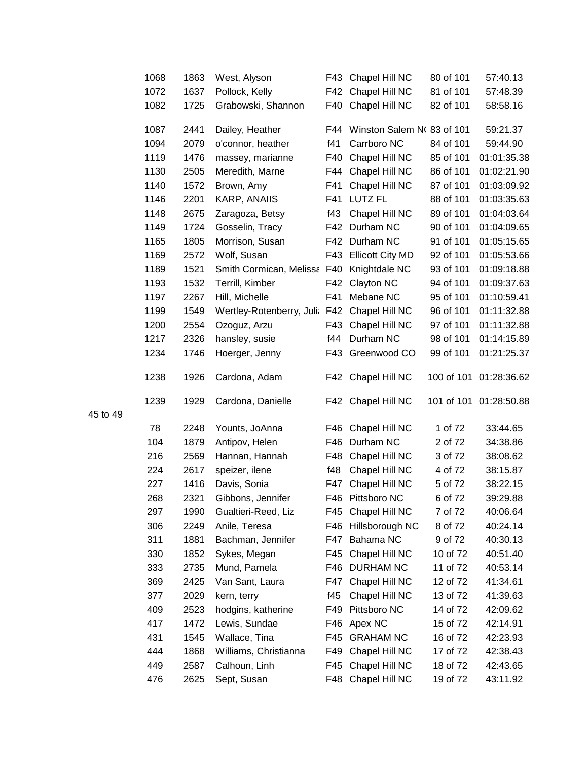| 1068 | 1863 | West, Alyson                  | F43 | Chapel Hill NC                | 80 of 101 | 57:40.13               |
|------|------|-------------------------------|-----|-------------------------------|-----------|------------------------|
| 1072 | 1637 | Pollock, Kelly                | F42 | Chapel Hill NC                | 81 of 101 | 57:48.39               |
| 1082 | 1725 | Grabowski, Shannon            | F40 | Chapel Hill NC                | 82 of 101 | 58:58.16               |
| 1087 | 2441 | Dailey, Heather               |     | F44 Winston Salem N(83 of 101 |           | 59:21.37               |
| 1094 | 2079 | o'connor, heather             | f41 | Carrboro NC                   | 84 of 101 | 59:44.90               |
| 1119 | 1476 | massey, marianne              | F40 | Chapel Hill NC                | 85 of 101 | 01:01:35.38            |
| 1130 | 2505 | Meredith, Marne               | F44 | Chapel Hill NC                | 86 of 101 | 01:02:21.90            |
| 1140 | 1572 | Brown, Amy                    | F41 | Chapel Hill NC                | 87 of 101 | 01:03:09.92            |
| 1146 | 2201 | KARP, ANAIIS                  | F41 | LUTZ FL                       | 88 of 101 | 01:03:35.63            |
| 1148 | 2675 | Zaragoza, Betsy               | f43 | Chapel Hill NC                | 89 of 101 | 01:04:03.64            |
| 1149 | 1724 | Gosselin, Tracy               | F42 | Durham NC                     | 90 of 101 | 01:04:09.65            |
| 1165 | 1805 | Morrison, Susan               | F42 | Durham NC                     | 91 of 101 | 01:05:15.65            |
| 1169 | 2572 | Wolf, Susan                   | F43 | <b>Ellicott City MD</b>       | 92 of 101 | 01:05:53.66            |
| 1189 | 1521 | Smith Cormican, Melissa F40   |     | Knightdale NC                 | 93 of 101 | 01:09:18.88            |
| 1193 | 1532 | Terrill, Kimber               | F42 | Clayton NC                    | 94 of 101 | 01:09:37.63            |
| 1197 | 2267 | Hill, Michelle                | F41 | Mebane NC                     | 95 of 101 | 01:10:59.41            |
| 1199 | 1549 | Wertley-Rotenberry, Julia F42 |     | Chapel Hill NC                | 96 of 101 | 01:11:32.88            |
| 1200 | 2554 | Ozoguz, Arzu                  | F43 | Chapel Hill NC                | 97 of 101 | 01:11:32.88            |
| 1217 | 2326 | hansley, susie                | f44 | Durham NC                     | 98 of 101 | 01:14:15.89            |
| 1234 | 1746 | Hoerger, Jenny                | F43 | Greenwood CO                  | 99 of 101 | 01:21:25.37            |
| 1238 | 1926 | Cardona, Adam                 |     | F42 Chapel Hill NC            |           | 100 of 101 01:28:36.62 |
| 1239 | 1929 | Cardona, Danielle             |     | F42 Chapel Hill NC            |           | 101 of 101 01:28:50.88 |
| 78   | 2248 | Younts, JoAnna                | F46 | Chapel Hill NC                | 1 of 72   | 33:44.65               |
| 104  | 1879 | Antipov, Helen                | F46 | Durham NC                     | 2 of 72   | 34:38.86               |
| 216  | 2569 | Hannan, Hannah                | F48 | Chapel Hill NC                | 3 of 72   | 38:08.62               |
| 224  | 2617 | speizer, ilene                | f48 | Chapel Hill NC                | 4 of 72   | 38:15.87               |
| 227  | 1416 | Davis, Sonia                  | F47 | Chapel Hill NC                | 5 of 72   | 38:22.15               |
| 268  | 2321 | Gibbons, Jennifer             | F46 | Pittsboro NC                  | 6 of 72   | 39:29.88               |
| 297  | 1990 | Gualtieri-Reed, Liz           | F45 | Chapel Hill NC                | 7 of 72   | 40:06.64               |
| 306  | 2249 | Anile, Teresa                 | F46 | Hillsborough NC               | 8 of 72   | 40:24.14               |
| 311  | 1881 | Bachman, Jennifer             | F47 | Bahama NC                     | 9 of 72   | 40:30.13               |
| 330  | 1852 | Sykes, Megan                  | F45 | Chapel Hill NC                | 10 of 72  | 40:51.40               |
| 333  | 2735 | Mund, Pamela                  | F46 | <b>DURHAM NC</b>              | 11 of 72  | 40:53.14               |
| 369  | 2425 | Van Sant, Laura               | F47 | Chapel Hill NC                | 12 of 72  | 41:34.61               |
| 377  | 2029 | kern, terry                   | f45 | Chapel Hill NC                | 13 of 72  | 41:39.63               |
| 409  | 2523 | hodgins, katherine            | F49 | Pittsboro NC                  | 14 of 72  | 42:09.62               |
| 417  | 1472 | Lewis, Sundae                 | F46 | Apex NC                       | 15 of 72  | 42:14.91               |
| 431  | 1545 | Wallace, Tina                 | F45 | <b>GRAHAM NC</b>              | 16 of 72  | 42:23.93               |
| 444  | 1868 | Williams, Christianna         | F49 | Chapel Hill NC                | 17 of 72  | 42:38.43               |
| 449  | 2587 | Calhoun, Linh                 | F45 | Chapel Hill NC                | 18 of 72  | 42:43.65               |
| 476  | 2625 | Sept, Susan                   | F48 | Chapel Hill NC                | 19 of 72  | 43:11.92               |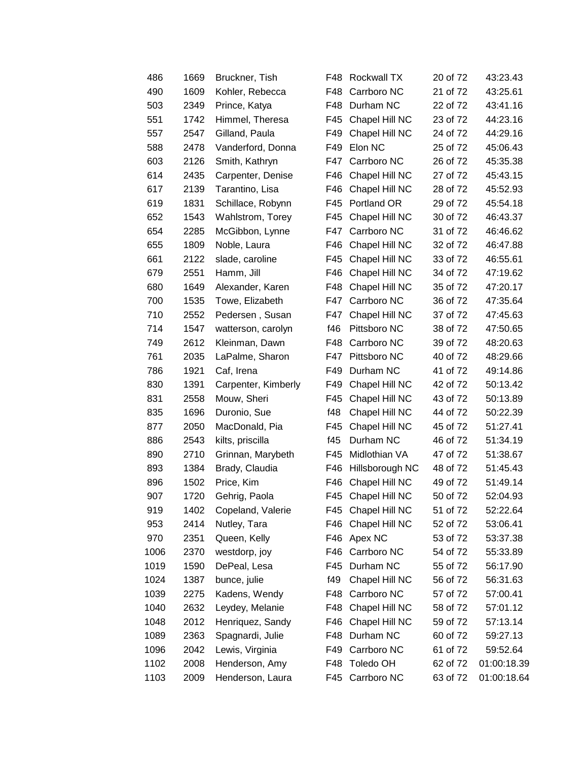| 486  | 1669 | Bruckner, Tish      | F48. | <b>Rockwall TX</b> | 20 of 72 | 43:23.43    |
|------|------|---------------------|------|--------------------|----------|-------------|
| 490  | 1609 | Kohler, Rebecca     | F48  | Carrboro NC        | 21 of 72 | 43:25.61    |
| 503  | 2349 | Prince, Katya       | F48  | Durham NC          | 22 of 72 | 43:41.16    |
| 551  | 1742 | Himmel, Theresa     | F45  | Chapel Hill NC     | 23 of 72 | 44:23.16    |
| 557  | 2547 | Gilland, Paula      | F49  | Chapel Hill NC     | 24 of 72 | 44:29.16    |
| 588  | 2478 | Vanderford, Donna   | F49  | Elon NC            | 25 of 72 | 45:06.43    |
| 603  | 2126 | Smith, Kathryn      | F47  | Carrboro NC        | 26 of 72 | 45:35.38    |
| 614  | 2435 | Carpenter, Denise   | F46  | Chapel Hill NC     | 27 of 72 | 45:43.15    |
| 617  | 2139 | Tarantino, Lisa     | F46  | Chapel Hill NC     | 28 of 72 | 45:52.93    |
| 619  | 1831 | Schillace, Robynn   | F45  | Portland OR        | 29 of 72 | 45:54.18    |
| 652  | 1543 | Wahlstrom, Torey    | F45  | Chapel Hill NC     | 30 of 72 | 46:43.37    |
| 654  | 2285 | McGibbon, Lynne     | F47  | Carrboro NC        | 31 of 72 | 46:46.62    |
| 655  | 1809 | Noble, Laura        | F46  | Chapel Hill NC     | 32 of 72 | 46:47.88    |
| 661  | 2122 | slade, caroline     | F45  | Chapel Hill NC     | 33 of 72 | 46:55.61    |
| 679  | 2551 | Hamm, Jill          | F46  | Chapel Hill NC     | 34 of 72 | 47:19.62    |
| 680  | 1649 | Alexander, Karen    | F48  | Chapel Hill NC     | 35 of 72 | 47:20.17    |
| 700  | 1535 | Towe, Elizabeth     | F47  | Carrboro NC        | 36 of 72 | 47:35.64    |
| 710  | 2552 | Pedersen, Susan     | F47  | Chapel Hill NC     | 37 of 72 | 47:45.63    |
| 714  | 1547 | watterson, carolyn  | f46  | Pittsboro NC       | 38 of 72 | 47:50.65    |
| 749  | 2612 | Kleinman, Dawn      | F48  | Carrboro NC        | 39 of 72 | 48:20.63    |
| 761  | 2035 | LaPalme, Sharon     | F47  | Pittsboro NC       | 40 of 72 | 48:29.66    |
| 786  | 1921 | Caf, Irena          | F49  | Durham NC          | 41 of 72 | 49:14.86    |
| 830  | 1391 | Carpenter, Kimberly | F49  | Chapel Hill NC     | 42 of 72 | 50:13.42    |
| 831  | 2558 | Mouw, Sheri         | F45  | Chapel Hill NC     | 43 of 72 | 50:13.89    |
| 835  | 1696 | Duronio, Sue        | f48  | Chapel Hill NC     | 44 of 72 | 50:22.39    |
| 877  | 2050 | MacDonald, Pia      | F45  | Chapel Hill NC     | 45 of 72 | 51:27.41    |
| 886  | 2543 | kilts, priscilla    | f45  | Durham NC          | 46 of 72 | 51:34.19    |
| 890  | 2710 | Grinnan, Marybeth   | F45  | Midlothian VA      | 47 of 72 | 51:38.67    |
| 893  | 1384 | Brady, Claudia      | F46  | Hillsborough NC    | 48 of 72 | 51:45.43    |
| 896  | 1502 | Price, Kim          | F46  | Chapel Hill NC     | 49 of 72 | 51:49.14    |
| 907  | 1720 | Gehrig, Paola       | F45  | Chapel Hill NC     | 50 of 72 | 52:04.93    |
| 919  | 1402 | Copeland, Valerie   | F45  | Chapel Hill NC     | 51 of 72 | 52:22.64    |
| 953  | 2414 | Nutley, Tara        | F46  | Chapel Hill NC     | 52 of 72 | 53:06.41    |
| 970  | 2351 | Queen, Kelly        | F46  | Apex NC            | 53 of 72 | 53:37.38    |
| 1006 | 2370 | westdorp, joy       | F46  | Carrboro NC        | 54 of 72 | 55:33.89    |
| 1019 | 1590 | DePeal, Lesa        | F45  | Durham NC          | 55 of 72 | 56:17.90    |
| 1024 | 1387 | bunce, julie        | f49  | Chapel Hill NC     | 56 of 72 | 56:31.63    |
| 1039 | 2275 | Kadens, Wendy       | F48  | Carrboro NC        | 57 of 72 | 57:00.41    |
| 1040 | 2632 | Leydey, Melanie     | F48  | Chapel Hill NC     | 58 of 72 | 57:01.12    |
| 1048 | 2012 | Henriquez, Sandy    | F46  | Chapel Hill NC     | 59 of 72 | 57:13.14    |
| 1089 | 2363 | Spagnardi, Julie    | F48  | Durham NC          | 60 of 72 | 59:27.13    |
| 1096 | 2042 | Lewis, Virginia     | F49  | Carrboro NC        | 61 of 72 | 59:52.64    |
| 1102 | 2008 | Henderson, Amy      | F48  | Toledo OH          | 62 of 72 | 01:00:18.39 |
| 1103 | 2009 | Henderson, Laura    | F45  | Carrboro NC        | 63 of 72 | 01:00:18.64 |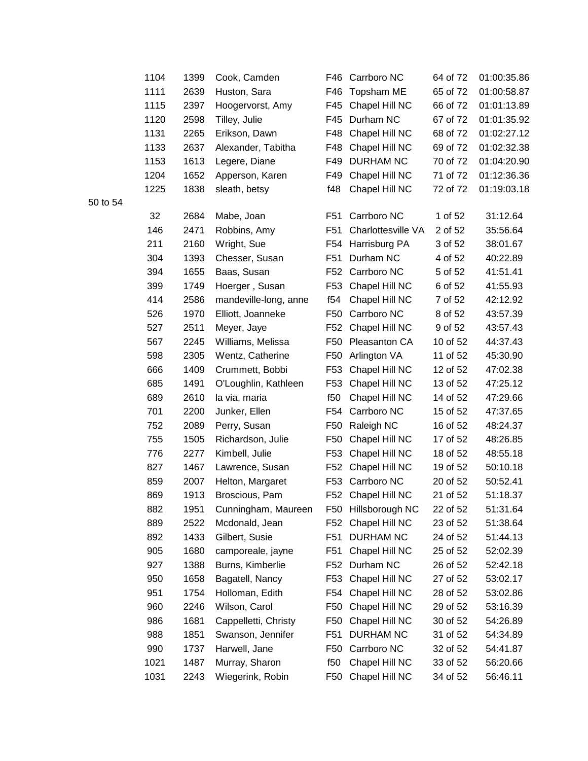| 1104 | 1399 | Cook, Camden          | F46             | Carrboro NC        | 64 of 72 | 01:00:35.86 |
|------|------|-----------------------|-----------------|--------------------|----------|-------------|
| 1111 | 2639 | Huston, Sara          | F46             | Topsham ME         | 65 of 72 | 01:00:58.87 |
| 1115 | 2397 | Hoogervorst, Amy      | F45             | Chapel Hill NC     | 66 of 72 | 01:01:13.89 |
| 1120 | 2598 | Tilley, Julie         | F45             | Durham NC          | 67 of 72 | 01:01:35.92 |
| 1131 | 2265 | Erikson, Dawn         | F48             | Chapel Hill NC     | 68 of 72 | 01:02:27.12 |
| 1133 | 2637 | Alexander, Tabitha    | F48             | Chapel Hill NC     | 69 of 72 | 01:02:32.38 |
| 1153 | 1613 | Legere, Diane         | F49             | <b>DURHAM NC</b>   | 70 of 72 | 01:04:20.90 |
| 1204 | 1652 | Apperson, Karen       | F49             | Chapel Hill NC     | 71 of 72 | 01:12:36.36 |
| 1225 | 1838 | sleath, betsy         | f48             | Chapel Hill NC     | 72 of 72 | 01:19:03.18 |
| 32   | 2684 | Mabe, Joan            | F51             | Carrboro NC        | 1 of 52  | 31:12.64    |
| 146  | 2471 | Robbins, Amy          | F51             | Charlottesville VA | 2 of 52  | 35:56.64    |
| 211  | 2160 | Wright, Sue           | F54             | Harrisburg PA      | 3 of 52  | 38:01.67    |
| 304  | 1393 | Chesser, Susan        | F51             | Durham NC          | 4 of 52  | 40:22.89    |
| 394  | 1655 | Baas, Susan           | F52             | Carrboro NC        | 5 of 52  | 41:51.41    |
| 399  | 1749 | Hoerger, Susan        | F53             | Chapel Hill NC     | 6 of 52  | 41:55.93    |
| 414  | 2586 | mandeville-long, anne | f54             | Chapel Hill NC     | 7 of 52  | 42:12.92    |
| 526  | 1970 | Elliott, Joanneke     | F50             | Carrboro NC        | 8 of 52  | 43:57.39    |
| 527  | 2511 | Meyer, Jaye           | F52             | Chapel Hill NC     | 9 of 52  | 43:57.43    |
| 567  | 2245 | Williams, Melissa     | F50             | Pleasanton CA      | 10 of 52 | 44:37.43    |
| 598  | 2305 | Wentz, Catherine      | F50             | Arlington VA       | 11 of 52 | 45:30.90    |
| 666  | 1409 | Crummett, Bobbi       | F53             | Chapel Hill NC     | 12 of 52 | 47:02.38    |
| 685  | 1491 | O'Loughlin, Kathleen  | F53             | Chapel Hill NC     | 13 of 52 | 47:25.12    |
| 689  | 2610 | la via, maria         | f50             | Chapel Hill NC     | 14 of 52 | 47:29.66    |
| 701  | 2200 | Junker, Ellen         | F54             | Carrboro NC        | 15 of 52 | 47:37.65    |
| 752  | 2089 | Perry, Susan          | F50             | Raleigh NC         | 16 of 52 | 48:24.37    |
| 755  | 1505 | Richardson, Julie     | F50             | Chapel Hill NC     | 17 of 52 | 48:26.85    |
| 776  | 2277 | Kimbell, Julie        | F <sub>53</sub> | Chapel Hill NC     | 18 of 52 | 48:55.18    |
| 827  | 1467 | Lawrence, Susan       | F52             | Chapel Hill NC     | 19 of 52 | 50:10.18    |
| 859  | 2007 | Helton, Margaret      | F53             | Carrboro NC        | 20 of 52 | 50:52.41    |
| 869  | 1913 | Broscious, Pam        |                 | F52 Chapel Hill NC | 21 of 52 | 51:18.37    |
| 882  | 1951 | Cunningham, Maureen   | F50             | Hillsborough NC    | 22 of 52 | 51:31.64    |
| 889  | 2522 | Mcdonald, Jean        | F52             | Chapel Hill NC     | 23 of 52 | 51:38.64    |
| 892  | 1433 | Gilbert, Susie        | F <sub>51</sub> | <b>DURHAM NC</b>   | 24 of 52 | 51:44.13    |
| 905  | 1680 | camporeale, jayne     | F <sub>51</sub> | Chapel Hill NC     | 25 of 52 | 52:02.39    |
| 927  | 1388 | Burns, Kimberlie      | F52             | Durham NC          | 26 of 52 | 52:42.18    |
| 950  | 1658 | Bagatell, Nancy       | F <sub>53</sub> | Chapel Hill NC     | 27 of 52 | 53:02.17    |
| 951  | 1754 | Holloman, Edith       | F54             | Chapel Hill NC     | 28 of 52 | 53:02.86    |
| 960  | 2246 | Wilson, Carol         | F <sub>50</sub> | Chapel Hill NC     | 29 of 52 | 53:16.39    |
| 986  | 1681 | Cappelletti, Christy  | F <sub>50</sub> | Chapel Hill NC     | 30 of 52 | 54:26.89    |
| 988  | 1851 | Swanson, Jennifer     | F <sub>51</sub> | <b>DURHAM NC</b>   | 31 of 52 | 54:34.89    |
| 990  | 1737 | Harwell, Jane         | F50             | Carrboro NC        | 32 of 52 | 54:41.87    |
| 1021 | 1487 | Murray, Sharon        | f50             | Chapel Hill NC     | 33 of 52 | 56:20.66    |
| 1031 | 2243 | Wiegerink, Robin      | F <sub>50</sub> | Chapel Hill NC     | 34 of 52 | 56:46.11    |
|      |      |                       |                 |                    |          |             |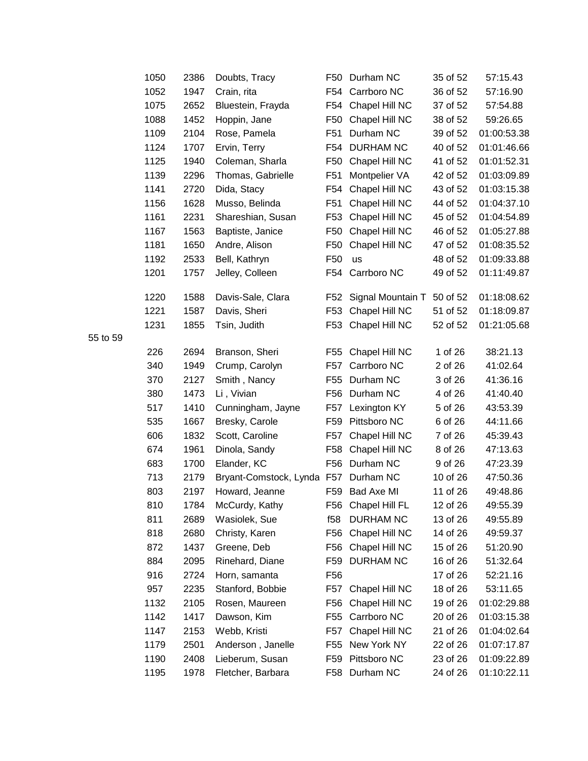| 1050 | 2386 | Doubts, Tracy              | F50             | Durham NC                  | 35 of 52 | 57:15.43    |
|------|------|----------------------------|-----------------|----------------------------|----------|-------------|
| 1052 | 1947 | Crain, rita                | F <sub>54</sub> | Carrboro NC                | 36 of 52 | 57:16.90    |
| 1075 | 2652 | Bluestein, Frayda          | F54             | Chapel Hill NC             | 37 of 52 | 57:54.88    |
| 1088 | 1452 | Hoppin, Jane               | F <sub>50</sub> | Chapel Hill NC             | 38 of 52 | 59:26.65    |
| 1109 | 2104 | Rose, Pamela               | F <sub>51</sub> | Durham NC                  | 39 of 52 | 01:00:53.38 |
| 1124 | 1707 | Ervin, Terry               | F <sub>54</sub> | <b>DURHAM NC</b>           | 40 of 52 | 01:01:46.66 |
| 1125 | 1940 | Coleman, Sharla            | F <sub>50</sub> | Chapel Hill NC             | 41 of 52 | 01:01:52.31 |
| 1139 | 2296 | Thomas, Gabrielle          | F <sub>51</sub> | Montpelier VA              | 42 of 52 | 01:03:09.89 |
| 1141 | 2720 | Dida, Stacy                | F54             | Chapel Hill NC             | 43 of 52 | 01:03:15.38 |
| 1156 | 1628 | Musso, Belinda             | F <sub>51</sub> | Chapel Hill NC             | 44 of 52 | 01:04:37.10 |
| 1161 | 2231 | Shareshian, Susan          | F <sub>53</sub> | Chapel Hill NC             | 45 of 52 | 01:04:54.89 |
| 1167 | 1563 | Baptiste, Janice           | F <sub>50</sub> | Chapel Hill NC             | 46 of 52 | 01:05:27.88 |
| 1181 | 1650 | Andre, Alison              | F <sub>50</sub> | Chapel Hill NC             | 47 of 52 | 01:08:35.52 |
| 1192 | 2533 | Bell, Kathryn              | F <sub>50</sub> | <b>us</b>                  | 48 of 52 | 01:09:33.88 |
| 1201 | 1757 | Jelley, Colleen            | F54             | Carrboro NC                | 49 of 52 | 01:11:49.87 |
| 1220 | 1588 | Davis-Sale, Clara          | F <sub>52</sub> | Signal Mountain T 50 of 52 |          | 01:18:08.62 |
| 1221 | 1587 | Davis, Sheri               | F <sub>53</sub> | Chapel Hill NC             | 51 of 52 | 01:18:09.87 |
| 1231 | 1855 | Tsin, Judith               | F <sub>53</sub> | Chapel Hill NC             | 52 of 52 | 01:21:05.68 |
| 226  | 2694 | Branson, Sheri             | F55             | Chapel Hill NC             | 1 of 26  | 38:21.13    |
| 340  | 1949 | Crump, Carolyn             | F <sub>57</sub> | Carrboro NC                | 2 of 26  | 41:02.64    |
| 370  | 2127 | Smith, Nancy               | F <sub>55</sub> | Durham NC                  | 3 of 26  | 41:36.16    |
| 380  | 1473 | Li, Vivian                 | F56             | Durham NC                  | 4 of 26  | 41:40.40    |
| 517  | 1410 | Cunningham, Jayne          | F57             | Lexington KY               | 5 of 26  | 43:53.39    |
| 535  | 1667 | Bresky, Carole             | F59             | Pittsboro NC               | 6 of 26  | 44:11.66    |
| 606  | 1832 | Scott, Caroline            | F <sub>57</sub> | Chapel Hill NC             | 7 of 26  | 45:39.43    |
| 674  | 1961 | Dinola, Sandy              | F <sub>58</sub> | Chapel Hill NC             | 8 of 26  | 47:13.63    |
| 683  | 1700 | Elander, KC                | F <sub>56</sub> | Durham NC                  | 9 of 26  | 47:23.39    |
| 713  | 2179 | Bryant-Comstock, Lynda F57 |                 | Durham NC                  | 10 of 26 | 47:50.36    |
| 803  | 2197 | Howard, Jeanne             | F59             | <b>Bad Axe MI</b>          | 11 of 26 | 49:48.86    |
| 810  | 1784 | McCurdy, Kathy             | F56             | Chapel Hill FL             | 12 of 26 | 49:55.39    |
| 811  | 2689 | Wasiolek, Sue              | f58             | <b>DURHAM NC</b>           | 13 of 26 | 49:55.89    |
| 818  | 2680 | Christy, Karen             | F56             | Chapel Hill NC             | 14 of 26 | 49:59.37    |
| 872  | 1437 | Greene, Deb                | F <sub>56</sub> | Chapel Hill NC             | 15 of 26 | 51:20.90    |
| 884  | 2095 | Rinehard, Diane            | F59             | <b>DURHAM NC</b>           | 16 of 26 | 51:32.64    |
| 916  | 2724 | Horn, samanta              | F <sub>56</sub> |                            | 17 of 26 | 52:21.16    |
| 957  | 2235 | Stanford, Bobbie           | F57             | Chapel Hill NC             | 18 of 26 | 53:11.65    |
| 1132 | 2105 | Rosen, Maureen             | F <sub>56</sub> | Chapel Hill NC             | 19 of 26 | 01:02:29.88 |
| 1142 | 1417 | Dawson, Kim                | F55             | Carrboro NC                | 20 of 26 | 01:03:15.38 |
| 1147 | 2153 | Webb, Kristi               | F <sub>57</sub> | Chapel Hill NC             | 21 of 26 | 01:04:02.64 |
| 1179 | 2501 | Anderson, Janelle          | F <sub>55</sub> | New York NY                | 22 of 26 | 01:07:17.87 |
| 1190 | 2408 | Lieberum, Susan            | F59             | Pittsboro NC               | 23 of 26 | 01:09:22.89 |
| 1195 | 1978 | Fletcher, Barbara          | F58             | Durham NC                  | 24 of 26 | 01:10:22.11 |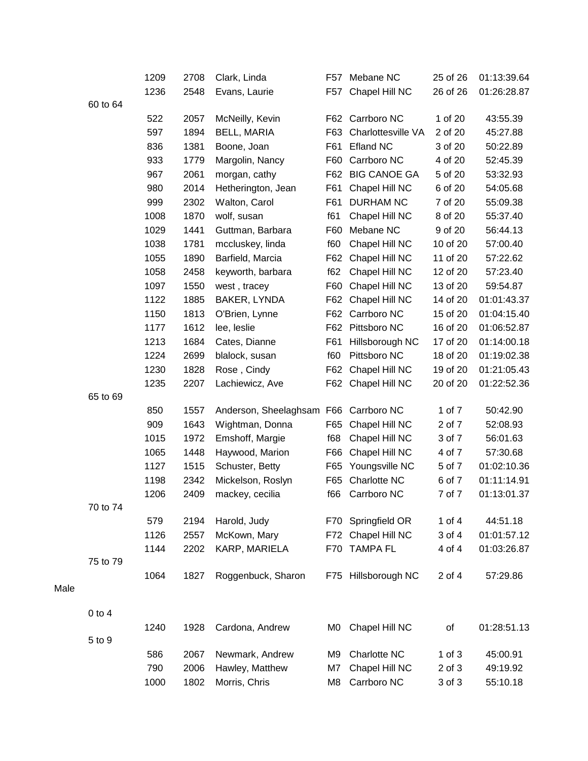|      |            | 1209 | 2708 | Clark, Linda              | F57 | Mebane NC           | 25 of 26   | 01:13:39.64 |
|------|------------|------|------|---------------------------|-----|---------------------|------------|-------------|
|      |            | 1236 | 2548 | Evans, Laurie             | F57 | Chapel Hill NC      | 26 of 26   | 01:26:28.87 |
|      | 60 to 64   |      |      |                           |     |                     |            |             |
|      |            | 522  | 2057 | McNeilly, Kevin           | F62 | Carrboro NC         | 1 of 20    | 43:55.39    |
|      |            | 597  | 1894 | <b>BELL, MARIA</b>        | F63 | Charlottesville VA  | 2 of 20    | 45:27.88    |
|      |            | 836  | 1381 | Boone, Joan               | F61 | <b>Efland NC</b>    | 3 of 20    | 50:22.89    |
|      |            | 933  | 1779 | Margolin, Nancy           | F60 | Carrboro NC         | 4 of 20    | 52:45.39    |
|      |            | 967  | 2061 | morgan, cathy             | F62 | <b>BIG CANOE GA</b> | 5 of 20    | 53:32.93    |
|      |            | 980  | 2014 | Hetherington, Jean        | F61 | Chapel Hill NC      | 6 of 20    | 54:05.68    |
|      |            | 999  | 2302 | Walton, Carol             | F61 | <b>DURHAM NC</b>    | 7 of 20    | 55:09.38    |
|      |            | 1008 | 1870 | wolf, susan               | f61 | Chapel Hill NC      | 8 of 20    | 55:37.40    |
|      |            | 1029 | 1441 | Guttman, Barbara          | F60 | Mebane NC           | 9 of 20    | 56:44.13    |
|      |            | 1038 | 1781 | mccluskey, linda          | f60 | Chapel Hill NC      | 10 of 20   | 57:00.40    |
|      |            | 1055 | 1890 | Barfield, Marcia          | F62 | Chapel Hill NC      | 11 of 20   | 57:22.62    |
|      |            | 1058 | 2458 | keyworth, barbara         | f62 | Chapel Hill NC      | 12 of 20   | 57:23.40    |
|      |            | 1097 | 1550 | west, tracey              | F60 | Chapel Hill NC      | 13 of 20   | 59:54.87    |
|      |            | 1122 | 1885 | BAKER, LYNDA              | F62 | Chapel Hill NC      | 14 of 20   | 01:01:43.37 |
|      |            | 1150 | 1813 | O'Brien, Lynne            | F62 | Carrboro NC         | 15 of 20   | 01:04:15.40 |
|      |            | 1177 | 1612 | lee, leslie               | F62 | Pittsboro NC        | 16 of 20   | 01:06:52.87 |
|      |            | 1213 | 1684 | Cates, Dianne             | F61 | Hillsborough NC     | 17 of 20   | 01:14:00.18 |
|      |            | 1224 | 2699 | blalock, susan            | f60 | Pittsboro NC        | 18 of 20   | 01:19:02.38 |
|      |            | 1230 | 1828 | Rose, Cindy               | F62 | Chapel Hill NC      | 19 of 20   | 01:21:05.43 |
|      |            | 1235 | 2207 | Lachiewicz, Ave           | F62 | Chapel Hill NC      | 20 of 20   | 01:22:52.36 |
|      | 65 to 69   |      |      |                           |     |                     |            |             |
|      |            | 850  | 1557 | Anderson, Sheelaghsam F66 |     | Carrboro NC         | 1 of 7     | 50:42.90    |
|      |            | 909  | 1643 | Wightman, Donna           | F65 | Chapel Hill NC      | 2 of 7     | 52:08.93    |
|      |            | 1015 | 1972 | Emshoff, Margie           | f68 | Chapel Hill NC      | 3 of 7     | 56:01.63    |
|      |            | 1065 | 1448 | Haywood, Marion           | F66 | Chapel Hill NC      | 4 of 7     | 57:30.68    |
|      |            | 1127 | 1515 | Schuster, Betty           | F65 | Youngsville NC      | 5 of 7     | 01:02:10.36 |
|      |            | 1198 | 2342 | Mickelson, Roslyn         | F65 | Charlotte NC        | 6 of 7     | 01:11:14.91 |
|      |            | 1206 | 2409 | mackey, cecilia           | f66 | Carrboro NC         | 7 of 7     | 01:13:01.37 |
|      | 70 to 74   |      |      |                           |     |                     |            |             |
|      |            | 579  | 2194 | Harold, Judy              | F70 | Springfield OR      | 1 of $4$   | 44:51.18    |
|      |            | 1126 | 2557 | McKown, Mary              | F72 | Chapel Hill NC      | 3 of 4     | 01:01:57.12 |
|      |            | 1144 | 2202 | KARP, MARIELA             | F70 | <b>TAMPA FL</b>     | 4 of 4     | 01:03:26.87 |
|      | 75 to 79   |      |      |                           |     |                     |            |             |
|      |            | 1064 | 1827 | Roggenbuck, Sharon        | F75 | Hillsborough NC     | 2 of 4     | 57:29.86    |
| Male |            |      |      |                           |     |                     |            |             |
|      |            |      |      |                           |     |                     |            |             |
|      | $0$ to $4$ |      |      |                           |     |                     |            |             |
|      |            | 1240 | 1928 | Cardona, Andrew           | M0  | Chapel Hill NC      | of         | 01:28:51.13 |
|      | 5 to 9     |      |      |                           |     |                     |            |             |
|      |            | 586  | 2067 | Newmark, Andrew           | M9  | Charlotte NC        | $1$ of $3$ | 45:00.91    |
|      |            | 790  | 2006 | Hawley, Matthew           | M7  | Chapel Hill NC      | 2 of 3     | 49:19.92    |
|      |            | 1000 | 1802 | Morris, Chris             | M8  | Carrboro NC         | 3 of 3     | 55:10.18    |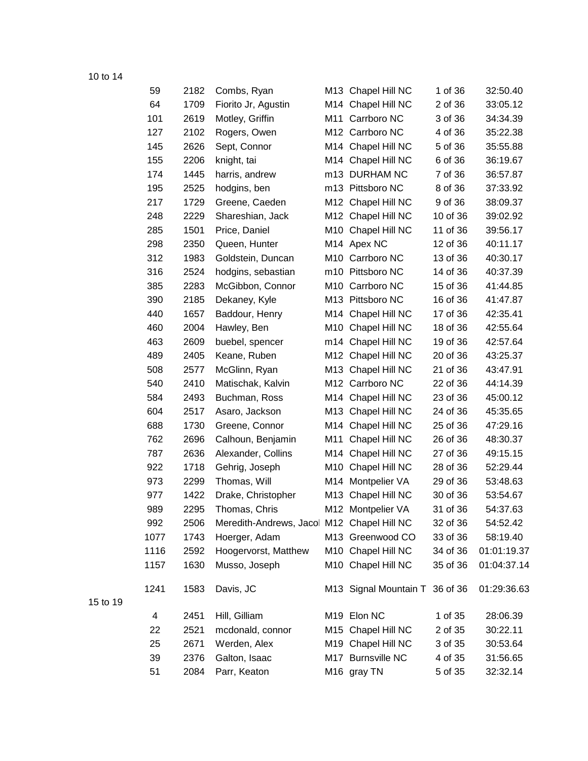| 59   | 2182 | Combs, Ryan                                |     | M13 Chapel Hill NC          | 1 of 36  | 32:50.40    |
|------|------|--------------------------------------------|-----|-----------------------------|----------|-------------|
| 64   | 1709 | Fiorito Jr, Agustin                        |     | M14 Chapel Hill NC          | 2 of 36  | 33:05.12    |
| 101  | 2619 | Motley, Griffin                            |     | M11 Carrboro NC             | 3 of 36  | 34:34.39    |
| 127  | 2102 | Rogers, Owen                               |     | M12 Carrboro NC             | 4 of 36  | 35:22.38    |
| 145  | 2626 | Sept, Connor                               |     | M14 Chapel Hill NC          | 5 of 36  | 35:55.88    |
| 155  | 2206 | knight, tai                                |     | M14 Chapel Hill NC          | 6 of 36  | 36:19.67    |
| 174  | 1445 | harris, andrew                             |     | m13 DURHAM NC               | 7 of 36  | 36:57.87    |
| 195  | 2525 | hodgins, ben                               |     | m13 Pittsboro NC            | 8 of 36  | 37:33.92    |
| 217  | 1729 | Greene, Caeden                             |     | M12 Chapel Hill NC          | 9 of 36  | 38:09.37    |
| 248  | 2229 | Shareshian, Jack                           |     | M12 Chapel Hill NC          | 10 of 36 | 39:02.92    |
| 285  | 1501 | Price, Daniel                              |     | M10 Chapel Hill NC          | 11 of 36 | 39:56.17    |
| 298  | 2350 | Queen, Hunter                              |     | M14 Apex NC                 | 12 of 36 | 40:11.17    |
| 312  | 1983 | Goldstein, Duncan                          |     | M10 Carrboro NC             | 13 of 36 | 40:30.17    |
| 316  | 2524 | hodgins, sebastian                         |     | m10 Pittsboro NC            | 14 of 36 | 40:37.39    |
| 385  | 2283 | McGibbon, Connor                           |     | M <sub>10</sub> Carrboro NC | 15 of 36 | 41:44.85    |
| 390  | 2185 | Dekaney, Kyle                              |     | M13 Pittsboro NC            | 16 of 36 | 41:47.87    |
| 440  | 1657 | Baddour, Henry                             |     | M14 Chapel Hill NC          | 17 of 36 | 42:35.41    |
| 460  | 2004 | Hawley, Ben                                |     | M10 Chapel Hill NC          | 18 of 36 | 42:55.64    |
| 463  | 2609 | buebel, spencer                            |     | m14 Chapel Hill NC          | 19 of 36 | 42:57.64    |
| 489  | 2405 | Keane, Ruben                               |     | M12 Chapel Hill NC          | 20 of 36 | 43:25.37    |
| 508  | 2577 | McGlinn, Ryan                              |     | M13 Chapel Hill NC          | 21 of 36 | 43:47.91    |
| 540  | 2410 | Matischak, Kalvin                          |     | M12 Carrboro NC             | 22 of 36 | 44:14.39    |
| 584  | 2493 | Buchman, Ross                              |     | M14 Chapel Hill NC          | 23 of 36 | 45:00.12    |
| 604  | 2517 | Asaro, Jackson                             |     | M13 Chapel Hill NC          | 24 of 36 | 45:35.65    |
| 688  | 1730 | Greene, Connor                             |     | M14 Chapel Hill NC          | 25 of 36 | 47:29.16    |
| 762  | 2696 | Calhoun, Benjamin                          | M11 | Chapel Hill NC              | 26 of 36 | 48:30.37    |
| 787  | 2636 | Alexander, Collins                         |     | M14 Chapel Hill NC          | 27 of 36 | 49:15.15    |
| 922  | 1718 | Gehrig, Joseph                             | M10 | Chapel Hill NC              | 28 of 36 | 52:29.44    |
| 973  | 2299 | Thomas, Will                               |     | M14 Montpelier VA           | 29 of 36 | 53:48.63    |
| 977  | 1422 | Drake, Christopher                         | M13 | Chapel Hill NC              | 30 of 36 | 53:54.67    |
| 989  | 2295 | Thomas, Chris                              |     | M12 Montpelier VA           | 31 of 36 | 54:37.63    |
| 992  | 2506 | Meredith-Andrews, Jacol M12 Chapel Hill NC |     |                             | 32 of 36 | 54:52.42    |
| 1077 | 1743 | Hoerger, Adam                              |     | M13 Greenwood CO            | 33 of 36 | 58:19.40    |
| 1116 | 2592 | Hoogervorst, Matthew                       |     | M10 Chapel Hill NC          | 34 of 36 | 01:01:19.37 |
| 1157 | 1630 | Musso, Joseph                              |     | M10 Chapel Hill NC          | 35 of 36 | 01:04:37.14 |
| 1241 | 1583 | Davis, JC                                  |     | M13 Signal Mountain T       | 36 of 36 | 01:29:36.63 |
| 4    | 2451 | Hill, Gilliam                              |     | M19 Elon NC                 | 1 of 35  | 28:06.39    |
| 22   | 2521 | mcdonald, connor                           |     | M15 Chapel Hill NC          | 2 of 35  | 30:22.11    |
| 25   | 2671 | Werden, Alex                               |     | M19 Chapel Hill NC          | 3 of 35  | 30:53.64    |
| 39   | 2376 | Galton, Isaac                              |     | M17 Burnsville NC           | 4 of 35  | 31:56.65    |
| 51   | 2084 | Parr, Keaton                               |     | M <sub>16</sub> gray TN     | 5 of 35  | 32:32.14    |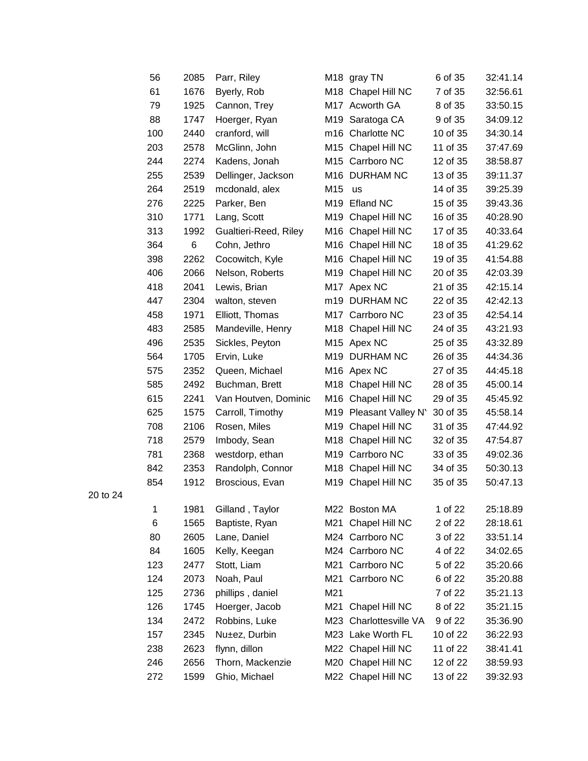| 56  | 2085 | Parr, Riley           |                 | M <sub>18</sub> gray TN | 6 of 35  | 32:41.14 |
|-----|------|-----------------------|-----------------|-------------------------|----------|----------|
| 61  | 1676 | Byerly, Rob           |                 | M18 Chapel Hill NC      | 7 of 35  | 32:56.61 |
| 79  | 1925 | Cannon, Trey          |                 | M17 Acworth GA          | 8 of 35  | 33:50.15 |
| 88  | 1747 | Hoerger, Ryan         |                 | M19 Saratoga CA         | 9 of 35  | 34:09.12 |
| 100 | 2440 | cranford, will        |                 | m16 Charlotte NC        | 10 of 35 | 34:30.14 |
| 203 | 2578 | McGlinn, John         |                 | M15 Chapel Hill NC      | 11 of 35 | 37:47.69 |
| 244 | 2274 | Kadens, Jonah         |                 | M15 Carrboro NC         | 12 of 35 | 38:58.87 |
| 255 | 2539 | Dellinger, Jackson    |                 | M16 DURHAM NC           | 13 of 35 | 39:11.37 |
| 264 | 2519 | mcdonald, alex        | M15             | us                      | 14 of 35 | 39:25.39 |
| 276 | 2225 | Parker, Ben           | M <sub>19</sub> | <b>Efland NC</b>        | 15 of 35 | 39:43.36 |
| 310 | 1771 | Lang, Scott           | M19             | Chapel Hill NC          | 16 of 35 | 40:28.90 |
| 313 | 1992 | Gualtieri-Reed, Riley |                 | M16 Chapel Hill NC      | 17 of 35 | 40:33.64 |
| 364 | 6    | Cohn, Jethro          | M16             | Chapel Hill NC          | 18 of 35 | 41:29.62 |
| 398 | 2262 | Cocowitch, Kyle       | M16             | Chapel Hill NC          | 19 of 35 | 41:54.88 |
| 406 | 2066 | Nelson, Roberts       | M19             | Chapel Hill NC          | 20 of 35 | 42:03.39 |
| 418 | 2041 | Lewis, Brian          |                 | M17 Apex NC             | 21 of 35 | 42:15.14 |
| 447 | 2304 | walton, steven        |                 | m19 DURHAM NC           | 22 of 35 | 42:42.13 |
| 458 | 1971 | Elliott, Thomas       |                 | M17 Carrboro NC         | 23 of 35 | 42:54.14 |
| 483 | 2585 | Mandeville, Henry     | M18             | Chapel Hill NC          | 24 of 35 | 43:21.93 |
| 496 | 2535 | Sickles, Peyton       |                 | M15 Apex NC             | 25 of 35 | 43:32.89 |
| 564 | 1705 | Ervin, Luke           |                 | M19 DURHAM NC           | 26 of 35 | 44:34.36 |
| 575 | 2352 | Queen, Michael        |                 | M16 Apex NC             | 27 of 35 | 44:45.18 |
| 585 | 2492 | Buchman, Brett        | M18             | Chapel Hill NC          | 28 of 35 | 45:00.14 |
| 615 | 2241 | Van Houtven, Dominic  |                 | M16 Chapel Hill NC      | 29 of 35 | 45:45.92 |
| 625 | 1575 | Carroll, Timothy      |                 | M19 Pleasant Valley N'  | 30 of 35 | 45:58.14 |
| 708 | 2106 | Rosen, Miles          | M19             | Chapel Hill NC          | 31 of 35 | 47:44.92 |
| 718 | 2579 | Imbody, Sean          |                 | M18 Chapel Hill NC      | 32 of 35 | 47:54.87 |
| 781 | 2368 | westdorp, ethan       | M19             | Carrboro NC             | 33 of 35 | 49:02.36 |
| 842 | 2353 | Randolph, Connor      |                 | M18 Chapel Hill NC      | 34 of 35 | 50:30.13 |
| 854 | 1912 | Broscious, Evan       | M19             | Chapel Hill NC          | 35 of 35 | 50:47.13 |
|     |      |                       |                 |                         |          |          |
| 1   | 1981 | Gilland, Taylor       |                 | M22 Boston MA           | 1 of 22  | 25:18.89 |
| 6   | 1565 | Baptiste, Ryan        | M21             | Chapel Hill NC          | 2 of 22  | 28:18.61 |
| 80  | 2605 | Lane, Daniel          |                 | M24 Carrboro NC         | 3 of 22  | 33:51.14 |
| 84  | 1605 | Kelly, Keegan         |                 | M24 Carrboro NC         | 4 of 22  | 34:02.65 |
| 123 | 2477 | Stott, Liam           | M21             | Carrboro NC             | 5 of 22  | 35:20.66 |
| 124 | 2073 | Noah, Paul            | M21             | Carrboro NC             | 6 of 22  | 35:20.88 |
| 125 | 2736 | phillips, daniel      | M21             |                         | 7 of 22  | 35:21.13 |
| 126 | 1745 | Hoerger, Jacob        | M21             | Chapel Hill NC          | 8 of 22  | 35:21.15 |
| 134 | 2472 | Robbins, Luke         | M23             | Charlottesville VA      | 9 of 22  | 35:36.90 |
| 157 | 2345 | Nu±ez, Durbin         |                 | M23 Lake Worth FL       | 10 of 22 | 36:22.93 |
| 238 | 2623 | flynn, dillon         |                 | M22 Chapel Hill NC      | 11 of 22 | 38:41.41 |
| 246 | 2656 | Thorn, Mackenzie      |                 | M20 Chapel Hill NC      | 12 of 22 | 38:59.93 |
| 272 | 1599 | Ghio, Michael         |                 | M22 Chapel Hill NC      | 13 of 22 | 39:32.93 |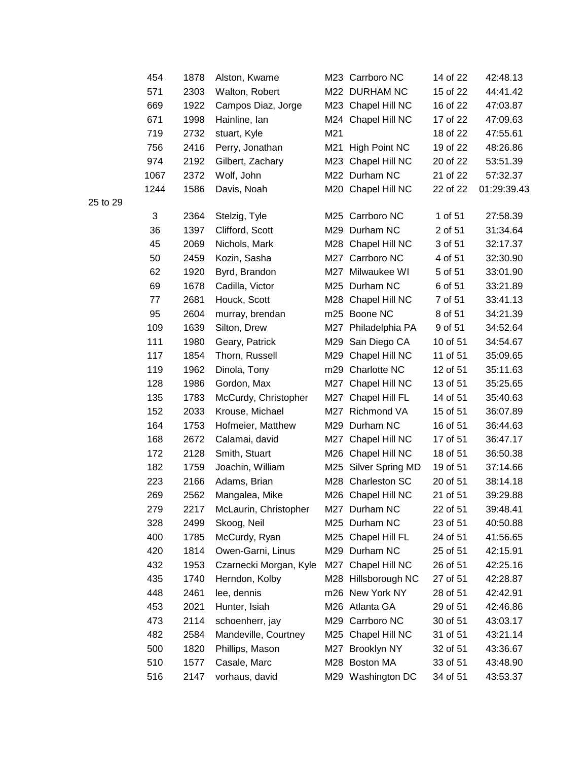| 454  | 1878 | Alston, Kwame          |     | M23 Carrboro NC      | 14 of 22 | 42:48.13    |
|------|------|------------------------|-----|----------------------|----------|-------------|
| 571  | 2303 | Walton, Robert         |     | M22 DURHAM NC        | 15 of 22 | 44:41.42    |
| 669  | 1922 | Campos Diaz, Jorge     |     | M23 Chapel Hill NC   | 16 of 22 | 47:03.87    |
| 671  | 1998 | Hainline, Ian          |     | M24 Chapel Hill NC   | 17 of 22 | 47:09.63    |
| 719  | 2732 | stuart, Kyle           | M21 |                      | 18 of 22 | 47:55.61    |
| 756  | 2416 | Perry, Jonathan        | M21 | High Point NC        | 19 of 22 | 48:26.86    |
| 974  | 2192 | Gilbert, Zachary       | M23 | Chapel Hill NC       | 20 of 22 | 53:51.39    |
| 1067 | 2372 | Wolf, John             |     | M22 Durham NC        | 21 of 22 | 57:32.37    |
| 1244 | 1586 | Davis, Noah            |     | M20 Chapel Hill NC   | 22 of 22 | 01:29:39.43 |
| 3    | 2364 | Stelzig, Tyle          |     | M25 Carrboro NC      | 1 of 51  | 27:58.39    |
| 36   | 1397 | Clifford, Scott        |     | M29 Durham NC        | 2 of 51  | 31:34.64    |
| 45   | 2069 | Nichols, Mark          |     | M28 Chapel Hill NC   | 3 of 51  | 32:17.37    |
| 50   | 2459 | Kozin, Sasha           |     | M27 Carrboro NC      | 4 of 51  | 32:30.90    |
| 62   | 1920 | Byrd, Brandon          |     | M27 Milwaukee WI     | 5 of 51  | 33:01.90    |
| 69   | 1678 | Cadilla, Victor        |     | M25 Durham NC        | 6 of 51  | 33:21.89    |
| 77   | 2681 | Houck, Scott           |     | M28 Chapel Hill NC   | 7 of 51  | 33:41.13    |
| 95   | 2604 | murray, brendan        |     | m25 Boone NC         | 8 of 51  | 34:21.39    |
| 109  | 1639 | Silton, Drew           | M27 | Philadelphia PA      | 9 of 51  | 34:52.64    |
| 111  | 1980 | Geary, Patrick         |     | M29 San Diego CA     | 10 of 51 | 34:54.67    |
| 117  | 1854 | Thorn, Russell         |     | M29 Chapel Hill NC   | 11 of 51 | 35:09.65    |
| 119  | 1962 | Dinola, Tony           |     | m29 Charlotte NC     | 12 of 51 | 35:11.63    |
| 128  | 1986 | Gordon, Max            | M27 | Chapel Hill NC       | 13 of 51 | 35:25.65    |
| 135  | 1783 | McCurdy, Christopher   | M27 | Chapel Hill FL       | 14 of 51 | 35:40.63    |
| 152  | 2033 | Krouse, Michael        | M27 | Richmond VA          | 15 of 51 | 36:07.89    |
| 164  | 1753 | Hofmeier, Matthew      | M29 | Durham NC            | 16 of 51 | 36:44.63    |
| 168  | 2672 | Calamai, david         | M27 | Chapel Hill NC       | 17 of 51 | 36:47.17    |
| 172  | 2128 | Smith, Stuart          | M26 | Chapel Hill NC       | 18 of 51 | 36:50.38    |
| 182  | 1759 | Joachin, William       |     | M25 Silver Spring MD | 19 of 51 | 37:14.66    |
| 223  | 2166 | Adams, Brian           |     | M28 Charleston SC    | 20 of 51 | 38:14.18    |
| 269  | 2562 | Mangalea, Mike         |     | M26 Chapel Hill NC   | 21 of 51 | 39:29.88    |
| 279  | 2217 | McLaurin, Christopher  |     | M27 Durham NC        | 22 of 51 | 39:48.41    |
| 328  | 2499 | Skoog, Neil            |     | M25 Durham NC        | 23 of 51 | 40:50.88    |
| 400  | 1785 | McCurdy, Ryan          |     | M25 Chapel Hill FL   | 24 of 51 | 41:56.65    |
| 420  | 1814 | Owen-Garni, Linus      |     | M29 Durham NC        | 25 of 51 | 42:15.91    |
| 432  | 1953 | Czarnecki Morgan, Kyle | M27 | Chapel Hill NC       | 26 of 51 | 42:25.16    |
| 435  | 1740 | Herndon, Kolby         |     | M28 Hillsborough NC  | 27 of 51 | 42:28.87    |
| 448  | 2461 | lee, dennis            |     | m26 New York NY      | 28 of 51 | 42:42.91    |
| 453  | 2021 | Hunter, Isiah          |     | M26 Atlanta GA       | 29 of 51 | 42:46.86    |
| 473  | 2114 | schoenherr, jay        |     | M29 Carrboro NC      | 30 of 51 | 43:03.17    |
| 482  | 2584 | Mandeville, Courtney   |     | M25 Chapel Hill NC   | 31 of 51 | 43:21.14    |
| 500  | 1820 | Phillips, Mason        | M27 | <b>Brooklyn NY</b>   | 32 of 51 | 43:36.67    |
| 510  | 1577 | Casale, Marc           |     | M28 Boston MA        | 33 of 51 | 43:48.90    |
| 516  | 2147 | vorhaus, david         |     | M29 Washington DC    | 34 of 51 | 43:53.37    |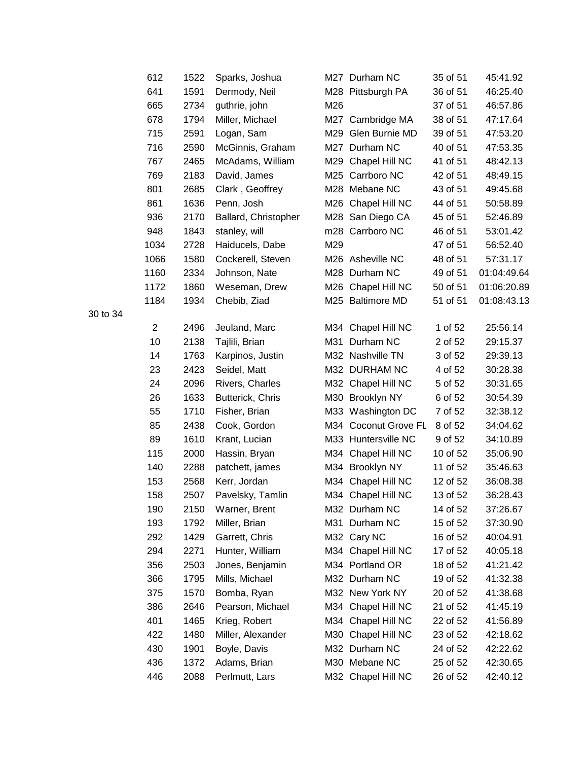| 612  | 1522 | Sparks, Joshua       |     | M27 Durham NC        | 35 of 51 | 45:41.92    |
|------|------|----------------------|-----|----------------------|----------|-------------|
| 641  | 1591 | Dermody, Neil        |     | M28 Pittsburgh PA    | 36 of 51 | 46:25.40    |
| 665  | 2734 | guthrie, john        | M26 |                      | 37 of 51 | 46:57.86    |
| 678  | 1794 | Miller, Michael      |     | M27 Cambridge MA     | 38 of 51 | 47:17.64    |
| 715  | 2591 | Logan, Sam           | M29 | Glen Burnie MD       | 39 of 51 | 47:53.20    |
| 716  | 2590 | McGinnis, Graham     |     | M27 Durham NC        | 40 of 51 | 47:53.35    |
| 767  | 2465 | McAdams, William     |     | M29 Chapel Hill NC   | 41 of 51 | 48:42.13    |
| 769  | 2183 | David, James         |     | M25 Carrboro NC      | 42 of 51 | 48:49.15    |
| 801  | 2685 | Clark, Geoffrey      |     | M28 Mebane NC        | 43 of 51 | 49:45.68    |
| 861  | 1636 | Penn, Josh           |     | M26 Chapel Hill NC   | 44 of 51 | 50:58.89    |
| 936  | 2170 | Ballard, Christopher |     | M28 San Diego CA     | 45 of 51 | 52:46.89    |
| 948  | 1843 | stanley, will        |     | m28 Carrboro NC      | 46 of 51 | 53:01.42    |
| 1034 | 2728 | Haiducels, Dabe      | M29 |                      | 47 of 51 | 56:52.40    |
| 1066 | 1580 | Cockerell, Steven    |     | M26 Asheville NC     | 48 of 51 | 57:31.17    |
| 1160 | 2334 | Johnson, Nate        |     | M28 Durham NC        | 49 of 51 | 01:04:49.64 |
| 1172 | 1860 | Weseman, Drew        |     | M26 Chapel Hill NC   | 50 of 51 | 01:06:20.89 |
| 1184 | 1934 | Chebib, Ziad         |     | M25 Baltimore MD     | 51 of 51 | 01:08:43.13 |
| 2    | 2496 | Jeuland, Marc        |     | M34 Chapel Hill NC   | 1 of 52  | 25:56.14    |
| 10   | 2138 | Tajlili, Brian       |     | M31 Durham NC        | 2 of 52  | 29:15.37    |
| 14   | 1763 | Karpinos, Justin     |     | M32 Nashville TN     | 3 of 52  | 29:39.13    |
| 23   | 2423 | Seidel, Matt         |     | M32 DURHAM NC        | 4 of 52  | 30:28.38    |
| 24   | 2096 | Rivers, Charles      |     | M32 Chapel Hill NC   | 5 of 52  | 30:31.65    |
| 26   | 1633 | Butterick, Chris     | M30 | <b>Brooklyn NY</b>   | 6 of 52  | 30:54.39    |
| 55   | 1710 | Fisher, Brian        |     | M33 Washington DC    | 7 of 52  | 32:38.12    |
| 85   | 2438 | Cook, Gordon         |     | M34 Coconut Grove FL | 8 of 52  | 34:04.62    |
| 89   | 1610 | Krant, Lucian        |     | M33 Huntersville NC  | 9 of 52  | 34:10.89    |
| 115  | 2000 | Hassin, Bryan        |     | M34 Chapel Hill NC   | 10 of 52 | 35:06.90    |
| 140  | 2288 | patchett, james      |     | M34 Brooklyn NY      | 11 of 52 | 35:46.63    |
| 153  | 2568 | Kerr, Jordan         |     | M34 Chapel Hill NC   | 12 of 52 | 36:08.38    |
| 158  | 2507 | Pavelsky, Tamlin     |     | M34 Chapel Hill NC   | 13 of 52 | 36:28.43    |
| 190  | 2150 | Warner, Brent        |     | M32 Durham NC        | 14 of 52 | 37:26.67    |
| 193  | 1792 | Miller, Brian        |     | M31 Durham NC        | 15 of 52 | 37:30.90    |
| 292  | 1429 | Garrett, Chris       |     | M32 Cary NC          | 16 of 52 | 40:04.91    |
| 294  | 2271 | Hunter, William      |     | M34 Chapel Hill NC   | 17 of 52 | 40:05.18    |
| 356  | 2503 | Jones, Benjamin      |     | M34 Portland OR      | 18 of 52 | 41:21.42    |
| 366  | 1795 | Mills, Michael       |     | M32 Durham NC        | 19 of 52 | 41:32.38    |
| 375  | 1570 | Bomba, Ryan          |     | M32 New York NY      | 20 of 52 | 41:38.68    |
| 386  | 2646 | Pearson, Michael     |     | M34 Chapel Hill NC   | 21 of 52 | 41:45.19    |
| 401  | 1465 | Krieg, Robert        |     | M34 Chapel Hill NC   | 22 of 52 | 41:56.89    |
| 422  | 1480 | Miller, Alexander    |     | M30 Chapel Hill NC   | 23 of 52 | 42:18.62    |
| 430  | 1901 | Boyle, Davis         |     | M32 Durham NC        | 24 of 52 | 42:22.62    |
| 436  | 1372 | Adams, Brian         |     | M30 Mebane NC        | 25 of 52 | 42:30.65    |
| 446  | 2088 | Perlmutt, Lars       |     | M32 Chapel Hill NC   | 26 of 52 | 42:40.12    |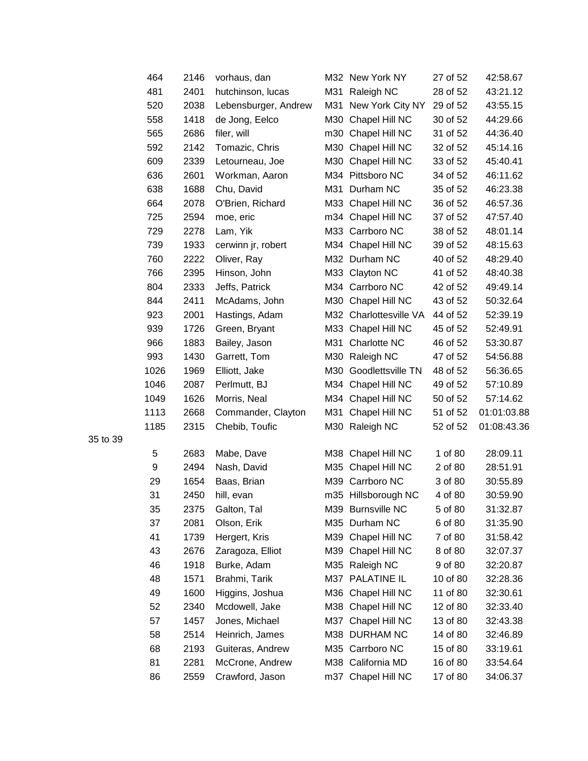| 464  | 2146 | vorhaus, dan         |     | M32 New York NY        | 27 of 52 | 42:58.67    |
|------|------|----------------------|-----|------------------------|----------|-------------|
| 481  | 2401 | hutchinson, lucas    | M31 | Raleigh NC             | 28 of 52 | 43:21.12    |
| 520  | 2038 | Lebensburger, Andrew | M31 | New York City NY       | 29 of 52 | 43:55.15    |
| 558  | 1418 | de Jong, Eelco       | M30 | Chapel Hill NC         | 30 of 52 | 44:29.66    |
| 565  | 2686 | filer, will          |     | m30 Chapel Hill NC     | 31 of 52 | 44:36.40    |
| 592  | 2142 | Tomazic, Chris       |     | M30 Chapel Hill NC     | 32 of 52 | 45:14.16    |
| 609  | 2339 | Letourneau, Joe      | M30 | Chapel Hill NC         | 33 of 52 | 45:40.41    |
| 636  | 2601 | Workman, Aaron       |     | M34 Pittsboro NC       | 34 of 52 | 46:11.62    |
| 638  | 1688 | Chu, David           | M31 | Durham NC              | 35 of 52 | 46:23.38    |
| 664  | 2078 | O'Brien, Richard     |     | M33 Chapel Hill NC     | 36 of 52 | 46:57.36    |
| 725  | 2594 | moe, eric            | m34 | Chapel Hill NC         | 37 of 52 | 47:57.40    |
| 729  | 2278 | Lam, Yik             |     | M33 Carrboro NC        | 38 of 52 | 48:01.14    |
| 739  | 1933 | cerwinn jr, robert   |     | M34 Chapel Hill NC     | 39 of 52 | 48:15.63    |
| 760  | 2222 | Oliver, Ray          |     | M32 Durham NC          | 40 of 52 | 48:29.40    |
| 766  | 2395 | Hinson, John         |     | M33 Clayton NC         | 41 of 52 | 48:40.38    |
| 804  | 2333 | Jeffs, Patrick       |     | M34 Carrboro NC        | 42 of 52 | 49:49.14    |
| 844  | 2411 | McAdams, John        |     | M30 Chapel Hill NC     | 43 of 52 | 50:32.64    |
| 923  | 2001 | Hastings, Adam       |     | M32 Charlottesville VA | 44 of 52 | 52:39.19    |
| 939  | 1726 | Green, Bryant        |     | M33 Chapel Hill NC     | 45 of 52 | 52:49.91    |
| 966  | 1883 | Bailey, Jason        | M31 | <b>Charlotte NC</b>    | 46 of 52 | 53:30.87    |
| 993  | 1430 | Garrett, Tom         | M30 | Raleigh NC             | 47 of 52 | 54:56.88    |
| 1026 | 1969 | Elliott, Jake        | M30 | Goodlettsville TN      | 48 of 52 | 56:36.65    |
| 1046 | 2087 | Perlmutt, BJ         | M34 | Chapel Hill NC         | 49 of 52 | 57:10.89    |
| 1049 | 1626 | Morris, Neal         |     | M34 Chapel Hill NC     | 50 of 52 | 57:14.62    |
| 1113 | 2668 | Commander, Clayton   | M31 | Chapel Hill NC         | 51 of 52 | 01:01:03.88 |
| 1185 | 2315 | Chebib, Toufic       |     | M30 Raleigh NC         | 52 of 52 | 01:08:43.36 |
| 5    | 2683 | Mabe, Dave           | M38 | Chapel Hill NC         | 1 of 80  | 28:09.11    |
| 9    | 2494 | Nash, David          | M35 | Chapel Hill NC         | 2 of 80  | 28:51.91    |
| 29   | 1654 | Baas, Brian          | M39 | Carrboro NC            | 3 of 80  | 30:55.89    |
| 31   | 2450 | hill, evan           |     | m35 Hillsborough NC    | 4 of 80  | 30:59.90    |
| 35   | 2375 | Galton, Tal          |     | M39 Burnsville NC      | 5 of 80  | 31:32.87    |
| 37   | 2081 | Olson, Erik          |     | M35 Durham NC          | 6 of 80  | 31:35.90    |
| 41   | 1739 | Hergert, Kris        |     | M39 Chapel Hill NC     | 7 of 80  | 31:58.42    |
| 43   | 2676 | Zaragoza, Elliot     |     | M39 Chapel Hill NC     | 8 of 80  | 32:07.37    |
| 46   | 1918 | Burke, Adam          |     | M35 Raleigh NC         | 9 of 80  | 32:20.87    |
| 48   | 1571 | Brahmi, Tarik        |     | M37 PALATINE IL        | 10 of 80 | 32:28.36    |
| 49   | 1600 | Higgins, Joshua      | M36 | Chapel Hill NC         | 11 of 80 | 32:30.61    |
| 52   | 2340 | Mcdowell, Jake       |     | M38 Chapel Hill NC     | 12 of 80 | 32:33.40    |
| 57   | 1457 | Jones, Michael       | M37 | Chapel Hill NC         | 13 of 80 | 32:43.38    |
| 58   | 2514 | Heinrich, James      |     | M38 DURHAM NC          | 14 of 80 | 32:46.89    |
| 68   | 2193 | Guiteras, Andrew     |     | M35 Carrboro NC        | 15 of 80 | 33:19.61    |
| 81   | 2281 | McCrone, Andrew      |     | M38 California MD      | 16 of 80 | 33:54.64    |
| 86   | 2559 | Crawford, Jason      |     | m37 Chapel Hill NC     | 17 of 80 | 34:06.37    |
|      |      |                      |     |                        |          |             |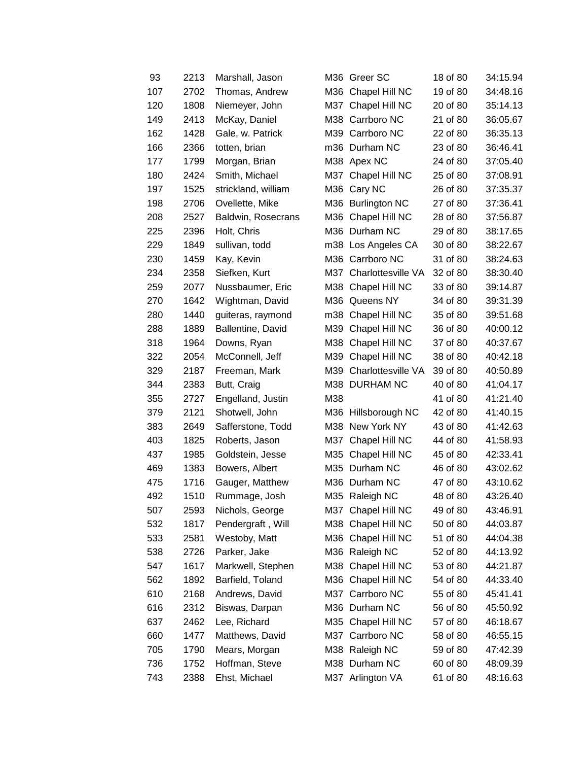| 93  | 2213 | Marshall, Jason     |     | M36 Greer SC        | 18 of 80 | 34:15.94 |
|-----|------|---------------------|-----|---------------------|----------|----------|
| 107 | 2702 | Thomas, Andrew      |     | M36 Chapel Hill NC  | 19 of 80 | 34:48.16 |
| 120 | 1808 | Niemeyer, John      | M37 | Chapel Hill NC      | 20 of 80 | 35:14.13 |
| 149 | 2413 | McKay, Daniel       |     | M38 Carrboro NC     | 21 of 80 | 36:05.67 |
| 162 | 1428 | Gale, w. Patrick    |     | M39 Carrboro NC     | 22 of 80 | 36:35.13 |
| 166 | 2366 | totten, brian       |     | m36 Durham NC       | 23 of 80 | 36:46.41 |
| 177 | 1799 | Morgan, Brian       |     | M38 Apex NC         | 24 of 80 | 37:05.40 |
| 180 | 2424 | Smith, Michael      | M37 | Chapel Hill NC      | 25 of 80 | 37:08.91 |
| 197 | 1525 | strickland, william |     | M36 Cary NC         | 26 of 80 | 37:35.37 |
| 198 | 2706 | Ovellette, Mike     |     | M36 Burlington NC   | 27 of 80 | 37:36.41 |
| 208 | 2527 | Baldwin, Rosecrans  | M36 | Chapel Hill NC      | 28 of 80 | 37:56.87 |
| 225 | 2396 | Holt, Chris         |     | M36 Durham NC       | 29 of 80 | 38:17.65 |
| 229 | 1849 | sullivan, todd      |     | m38 Los Angeles CA  | 30 of 80 | 38:22.67 |
| 230 | 1459 | Kay, Kevin          |     | M36 Carrboro NC     | 31 of 80 | 38:24.63 |
| 234 | 2358 | Siefken, Kurt       | M37 | Charlottesville VA  | 32 of 80 | 38:30.40 |
| 259 | 2077 | Nussbaumer, Eric    |     | M38 Chapel Hill NC  | 33 of 80 | 39:14.87 |
| 270 | 1642 | Wightman, David     |     | M36 Queens NY       | 34 of 80 | 39:31.39 |
| 280 | 1440 | guiteras, raymond   | m38 | Chapel Hill NC      | 35 of 80 | 39:51.68 |
| 288 | 1889 | Ballentine, David   | M39 | Chapel Hill NC      | 36 of 80 | 40:00.12 |
| 318 | 1964 | Downs, Ryan         | M38 | Chapel Hill NC      | 37 of 80 | 40:37.67 |
| 322 | 2054 | McConnell, Jeff     | M39 | Chapel Hill NC      | 38 of 80 | 40:42.18 |
| 329 | 2187 | Freeman, Mark       | M39 | Charlottesville VA  | 39 of 80 | 40:50.89 |
| 344 | 2383 | Butt, Craig         |     | M38 DURHAM NC       | 40 of 80 | 41:04.17 |
| 355 | 2727 | Engelland, Justin   | M38 |                     | 41 of 80 | 41:21.40 |
| 379 | 2121 | Shotwell, John      |     | M36 Hillsborough NC | 42 of 80 | 41:40.15 |
| 383 | 2649 | Safferstone, Todd   |     | M38 New York NY     | 43 of 80 | 41:42.63 |
| 403 | 1825 | Roberts, Jason      | M37 | Chapel Hill NC      | 44 of 80 | 41:58.93 |
| 437 | 1985 | Goldstein, Jesse    | M35 | Chapel Hill NC      | 45 of 80 | 42:33.41 |
| 469 | 1383 | Bowers, Albert      |     | M35 Durham NC       | 46 of 80 | 43:02.62 |
| 475 | 1716 | Gauger, Matthew     |     | M36 Durham NC       | 47 of 80 | 43:10.62 |
| 492 | 1510 | Rummage, Josh       |     | M35 Raleigh NC      | 48 of 80 | 43:26.40 |
| 507 | 2593 | Nichols, George     |     | M37 Chapel Hill NC  | 49 of 80 | 43:46.91 |
| 532 | 1817 | Pendergraft, Will   | M38 | Chapel Hill NC      | 50 of 80 | 44:03.87 |
| 533 | 2581 | Westoby, Matt       | M36 | Chapel Hill NC      | 51 of 80 | 44:04.38 |
| 538 | 2726 | Parker, Jake        | M36 | Raleigh NC          | 52 of 80 | 44:13.92 |
| 547 | 1617 | Markwell, Stephen   | M38 | Chapel Hill NC      | 53 of 80 | 44:21.87 |
| 562 | 1892 | Barfield, Toland    | M36 | Chapel Hill NC      | 54 of 80 | 44:33.40 |
| 610 | 2168 | Andrews, David      | M37 | Carrboro NC         | 55 of 80 | 45:41.41 |
| 616 | 2312 | Biswas, Darpan      |     | M36 Durham NC       | 56 of 80 | 45:50.92 |
| 637 | 2462 | Lee, Richard        | M35 | Chapel Hill NC      | 57 of 80 | 46:18.67 |
| 660 | 1477 | Matthews, David     | M37 | Carrboro NC         | 58 of 80 | 46:55.15 |
| 705 | 1790 | Mears, Morgan       |     | M38 Raleigh NC      | 59 of 80 | 47:42.39 |
| 736 | 1752 | Hoffman, Steve      |     | M38 Durham NC       | 60 of 80 | 48:09.39 |
| 743 | 2388 | Ehst, Michael       | M37 | Arlington VA        | 61 of 80 | 48:16.63 |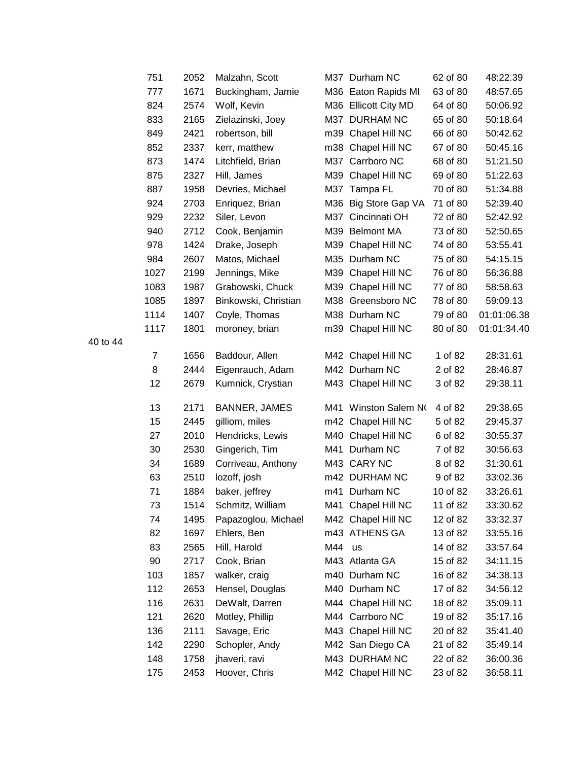| 751  | 2052 | Malzahn, Scott       |     | M37 Durham NC        | 62 of 80 | 48:22.39    |
|------|------|----------------------|-----|----------------------|----------|-------------|
| 777  | 1671 | Buckingham, Jamie    |     | M36 Eaton Rapids MI  | 63 of 80 | 48:57.65    |
| 824  | 2574 | Wolf, Kevin          |     | M36 Ellicott City MD | 64 of 80 | 50:06.92    |
| 833  | 2165 | Zielazinski, Joey    |     | M37 DURHAM NC        | 65 of 80 | 50:18.64    |
| 849  | 2421 | robertson, bill      |     | m39 Chapel Hill NC   | 66 of 80 | 50:42.62    |
| 852  | 2337 | kerr, matthew        |     | m38 Chapel Hill NC   | 67 of 80 | 50:45.16    |
| 873  | 1474 | Litchfield, Brian    |     | M37 Carrboro NC      | 68 of 80 | 51:21.50    |
| 875  | 2327 | Hill, James          | M39 | Chapel Hill NC       | 69 of 80 | 51:22.63    |
| 887  | 1958 | Devries, Michael     | M37 | Tampa FL             | 70 of 80 | 51:34.88    |
| 924  | 2703 | Enriquez, Brian      |     | M36 Big Store Gap VA | 71 of 80 | 52:39.40    |
| 929  | 2232 | Siler, Levon         | M37 | Cincinnati OH        | 72 of 80 | 52:42.92    |
| 940  | 2712 | Cook, Benjamin       |     | M39 Belmont MA       | 73 of 80 | 52:50.65    |
| 978  | 1424 | Drake, Joseph        |     | M39 Chapel Hill NC   | 74 of 80 | 53:55.41    |
| 984  | 2607 | Matos, Michael       |     | M35 Durham NC        | 75 of 80 | 54:15.15    |
| 1027 | 2199 | Jennings, Mike       |     | M39 Chapel Hill NC   | 76 of 80 | 56:36.88    |
| 1083 | 1987 | Grabowski, Chuck     |     | M39 Chapel Hill NC   | 77 of 80 | 58:58.63    |
| 1085 | 1897 | Binkowski, Christian |     | M38 Greensboro NC    | 78 of 80 | 59:09.13    |
| 1114 | 1407 | Coyle, Thomas        |     | M38 Durham NC        | 79 of 80 | 01:01:06.38 |
| 1117 | 1801 | moroney, brian       |     | m39 Chapel Hill NC   | 80 of 80 | 01:01:34.40 |
|      |      |                      |     |                      |          |             |
| 7    | 1656 | Baddour, Allen       |     | M42 Chapel Hill NC   | 1 of 82  | 28:31.61    |
| 8    | 2444 | Eigenrauch, Adam     |     | M42 Durham NC        | 2 of 82  | 28:46.87    |
| 12   | 2679 | Kumnick, Crystian    |     | M43 Chapel Hill NC   | 3 of 82  | 29:38.11    |
| 13   | 2171 | <b>BANNER, JAMES</b> | M41 | Winston Salem NO     | 4 of 82  | 29:38.65    |
| 15   | 2445 | gilliom, miles       |     | m42 Chapel Hill NC   | 5 of 82  | 29:45.37    |
| 27   | 2010 | Hendricks, Lewis     |     | M40 Chapel Hill NC   | 6 of 82  | 30:55.37    |
| 30   | 2530 | Gingerich, Tim       |     | M41 Durham NC        | 7 of 82  | 30:56.63    |
| 34   | 1689 | Corriveau, Anthony   |     | M43 CARY NC          | 8 of 82  | 31:30.61    |
| 63   | 2510 | lozoff, josh         |     | m42 DURHAM NC        | 9 of 82  | 33:02.36    |
| 71   | 1884 | baker, jeffrey       |     | m41 Durham NC        | 10 of 82 | 33:26.61    |
| 73   | 1514 | Schmitz, William     |     | M41 Chapel Hill NC   | 11 of 82 | 33:30.62    |
| 74   | 1495 | Papazoglou, Michael  |     | M42 Chapel Hill NC   | 12 of 82 | 33:32.37    |
| 82   | 1697 | Ehlers, Ben          |     | m43 ATHENS GA        | 13 of 82 | 33:55.16    |
| 83   | 2565 | Hill, Harold         | M44 | <b>us</b>            | 14 of 82 | 33:57.64    |
| 90   | 2717 | Cook, Brian          |     | M43 Atlanta GA       | 15 of 82 | 34:11.15    |
| 103  | 1857 | walker, craig        |     | m40 Durham NC        | 16 of 82 | 34:38.13    |
| 112  | 2653 | Hensel, Douglas      |     | M40 Durham NC        | 17 of 82 | 34:56.12    |
| 116  | 2631 | DeWalt, Darren       |     | M44 Chapel Hill NC   | 18 of 82 | 35:09.11    |
| 121  | 2620 | Motley, Phillip      |     | M44 Carrboro NC      | 19 of 82 | 35:17.16    |
| 136  | 2111 | Savage, Eric         |     | M43 Chapel Hill NC   | 20 of 82 | 35:41.40    |
| 142  | 2290 | Schopler, Andy       |     | M42 San Diego CA     | 21 of 82 | 35:49.14    |
| 148  | 1758 | jhaveri, ravi        |     | M43 DURHAM NC        | 22 of 82 | 36:00.36    |
| 175  | 2453 | Hoover, Chris        |     | M42 Chapel Hill NC   | 23 of 82 | 36:58.11    |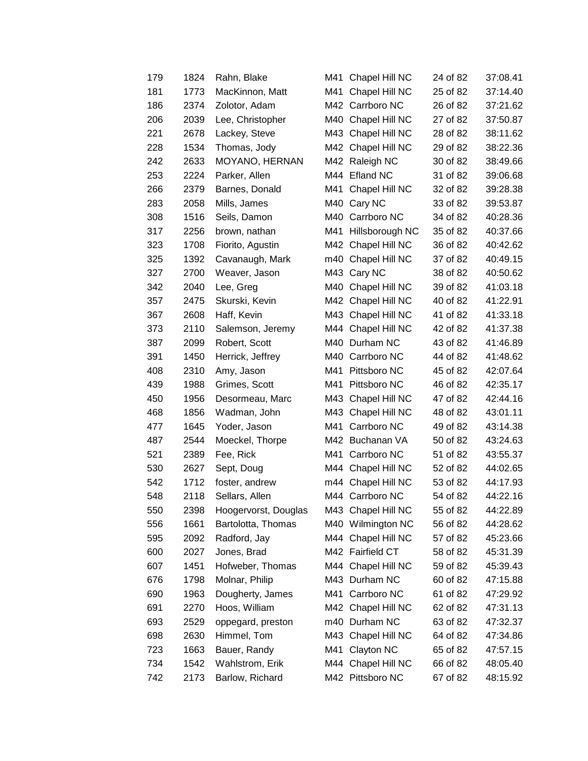| 179 | 1824 | Rahn, Blake          | M41 | Chapel Hill NC      | 24 of 82 | 37:08.41 |
|-----|------|----------------------|-----|---------------------|----------|----------|
| 181 | 1773 | MacKinnon, Matt      | M41 | Chapel Hill NC      | 25 of 82 | 37:14.40 |
| 186 | 2374 | Zolotor, Adam        |     | M42 Carrboro NC     | 26 of 82 | 37:21.62 |
| 206 | 2039 | Lee, Christopher     | M40 | Chapel Hill NC      | 27 of 82 | 37:50.87 |
| 221 | 2678 | Lackey, Steve        | M43 | Chapel Hill NC      | 28 of 82 | 38:11.62 |
| 228 | 1534 | Thomas, Jody         | M42 | Chapel Hill NC      | 29 of 82 | 38:22.36 |
| 242 | 2633 | MOYANO, HERNAN       |     | M42 Raleigh NC      | 30 of 82 | 38:49.66 |
| 253 | 2224 | Parker, Allen        |     | M44 Efland NC       | 31 of 82 | 39:06.68 |
| 266 | 2379 | Barnes, Donald       | M41 | Chapel Hill NC      | 32 of 82 | 39:28.38 |
| 283 | 2058 | Mills, James         | M40 | Cary NC             | 33 of 82 | 39:53.87 |
| 308 | 1516 | Seils, Damon         | M40 | Carrboro NC         | 34 of 82 | 40:28.36 |
| 317 | 2256 | brown, nathan        |     | M41 Hillsborough NC | 35 of 82 | 40:37.66 |
| 323 | 1708 | Fiorito, Agustin     |     | M42 Chapel Hill NC  | 36 of 82 | 40:42.62 |
| 325 | 1392 | Cavanaugh, Mark      | m40 | Chapel Hill NC      | 37 of 82 | 40:49.15 |
| 327 | 2700 | Weaver, Jason        | M43 | Cary NC             | 38 of 82 | 40:50.62 |
| 342 | 2040 | Lee, Greg            | M40 | Chapel Hill NC      | 39 of 82 | 41:03.18 |
| 357 | 2475 | Skurski, Kevin       |     | M42 Chapel Hill NC  | 40 of 82 | 41:22.91 |
| 367 | 2608 | Haff, Kevin          | M43 | Chapel Hill NC      | 41 of 82 | 41:33.18 |
| 373 | 2110 | Salemson, Jeremy     | M44 | Chapel Hill NC      | 42 of 82 | 41:37.38 |
| 387 | 2099 | Robert, Scott        |     | M40 Durham NC       | 43 of 82 | 41:46.89 |
| 391 | 1450 | Herrick, Jeffrey     | M40 | Carrboro NC         | 44 of 82 | 41:48.62 |
| 408 | 2310 | Amy, Jason           | M41 | Pittsboro NC        | 45 of 82 | 42:07.64 |
| 439 | 1988 | Grimes, Scott        | M41 | Pittsboro NC        | 46 of 82 | 42:35.17 |
| 450 | 1956 | Desormeau, Marc      | M43 | Chapel Hill NC      | 47 of 82 | 42:44.16 |
| 468 | 1856 | Wadman, John         | M43 | Chapel Hill NC      | 48 of 82 | 43:01.11 |
| 477 | 1645 | Yoder, Jason         | M41 | Carrboro NC         | 49 of 82 | 43:14.38 |
| 487 | 2544 | Moeckel, Thorpe      |     | M42 Buchanan VA     | 50 of 82 | 43:24.63 |
| 521 | 2389 | Fee, Rick            | M41 | Carrboro NC         | 51 of 82 | 43:55.37 |
| 530 | 2627 | Sept, Doug           |     | M44 Chapel Hill NC  | 52 of 82 | 44:02.65 |
| 542 | 1712 | foster, andrew       | m44 | Chapel Hill NC      | 53 of 82 | 44:17.93 |
| 548 | 2118 | Sellars, Allen       |     | M44 Carrboro NC     | 54 of 82 | 44:22.16 |
| 550 | 2398 | Hoogervorst, Douglas |     | M43 Chapel Hill NC  | 55 of 82 | 44:22.89 |
| 556 | 1661 | Bartolotta, Thomas   |     | M40 Wilmington NC   | 56 of 82 | 44:28.62 |
| 595 | 2092 | Radford, Jay         |     | M44 Chapel Hill NC  | 57 of 82 | 45:23.66 |
| 600 | 2027 | Jones, Brad          |     | M42 Fairfield CT    | 58 of 82 | 45:31.39 |
| 607 | 1451 | Hofweber, Thomas     |     | M44 Chapel Hill NC  | 59 of 82 | 45:39.43 |
| 676 | 1798 | Molnar, Philip       |     | M43 Durham NC       | 60 of 82 | 47:15.88 |
| 690 | 1963 | Dougherty, James     | M41 | Carrboro NC         | 61 of 82 | 47:29.92 |
| 691 | 2270 | Hoos, William        | M42 | Chapel Hill NC      | 62 of 82 | 47:31.13 |
| 693 | 2529 | oppegard, preston    |     | m40 Durham NC       | 63 of 82 | 47:32.37 |
| 698 | 2630 | Himmel, Tom          |     | M43 Chapel Hill NC  | 64 of 82 | 47:34.86 |
| 723 | 1663 | Bauer, Randy         | M41 | Clayton NC          | 65 of 82 | 47:57.15 |
| 734 | 1542 | Wahlstrom, Erik      |     | M44 Chapel Hill NC  | 66 of 82 | 48:05.40 |
| 742 | 2173 | Barlow, Richard      |     | M42 Pittsboro NC    | 67 of 82 | 48:15.92 |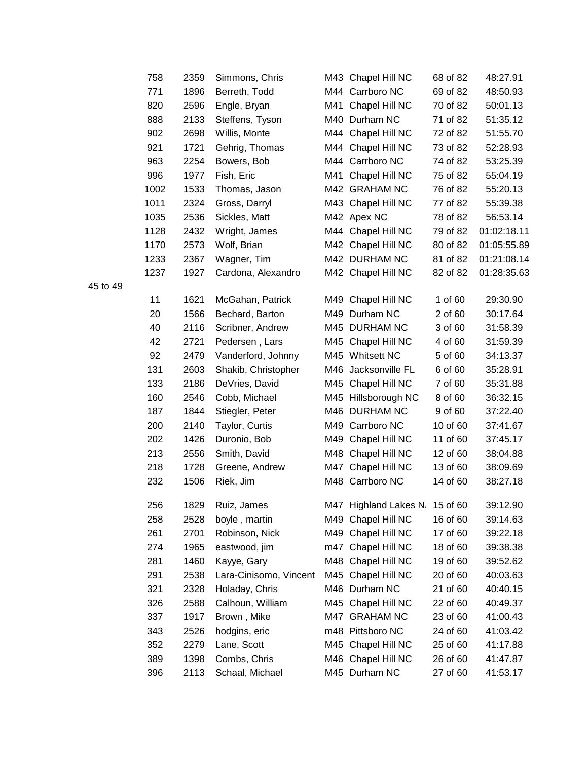| 758  | 2359 | Simmons, Chris         |      | M43 Chapel Hill NC    | 68 of 82 | 48:27.91    |
|------|------|------------------------|------|-----------------------|----------|-------------|
| 771  | 1896 | Berreth, Todd          |      | M44 Carrboro NC       | 69 of 82 | 48:50.93    |
| 820  | 2596 | Engle, Bryan           |      | M41 Chapel Hill NC    | 70 of 82 | 50:01.13    |
| 888  | 2133 | Steffens, Tyson        |      | M40 Durham NC         | 71 of 82 | 51:35.12    |
| 902  | 2698 | Willis, Monte          |      | M44 Chapel Hill NC    | 72 of 82 | 51:55.70    |
| 921  | 1721 | Gehrig, Thomas         |      | M44 Chapel Hill NC    | 73 of 82 | 52:28.93    |
| 963  | 2254 | Bowers, Bob            |      | M44 Carrboro NC       | 74 of 82 | 53:25.39    |
| 996  | 1977 | Fish, Eric             |      | M41 Chapel Hill NC    | 75 of 82 | 55:04.19    |
| 1002 | 1533 | Thomas, Jason          |      | M42 GRAHAM NC         | 76 of 82 | 55:20.13    |
| 1011 | 2324 | Gross, Darryl          |      | M43 Chapel Hill NC    | 77 of 82 | 55:39.38    |
| 1035 | 2536 | Sickles, Matt          |      | M42 Apex NC           | 78 of 82 | 56:53.14    |
| 1128 | 2432 | Wright, James          |      | M44 Chapel Hill NC    | 79 of 82 | 01:02:18.11 |
| 1170 | 2573 | Wolf, Brian            |      | M42 Chapel Hill NC    | 80 of 82 | 01:05:55.89 |
| 1233 | 2367 | Wagner, Tim            |      | M42 DURHAM NC         | 81 of 82 | 01:21:08.14 |
| 1237 | 1927 | Cardona, Alexandro     |      | M42 Chapel Hill NC    | 82 of 82 | 01:28:35.63 |
| 11   | 1621 | McGahan, Patrick       |      | M49 Chapel Hill NC    | 1 of 60  | 29:30.90    |
| 20   | 1566 | Bechard, Barton        |      | M49 Durham NC         | 2 of 60  | 30:17.64    |
| 40   | 2116 | Scribner, Andrew       |      | M45 DURHAM NC         | 3 of 60  | 31:58.39    |
| 42   | 2721 | Pedersen, Lars         |      | M45 Chapel Hill NC    | 4 of 60  | 31:59.39    |
| 92   | 2479 | Vanderford, Johnny     |      | M45 Whitsett NC       | 5 of 60  | 34:13.37    |
| 131  | 2603 | Shakib, Christopher    | M46. | Jacksonville FL       | 6 of 60  | 35:28.91    |
| 133  | 2186 | DeVries, David         |      | M45 Chapel Hill NC    | 7 of 60  | 35:31.88    |
| 160  | 2546 | Cobb, Michael          |      | M45 Hillsborough NC   | 8 of 60  | 36:32.15    |
| 187  | 1844 | Stiegler, Peter        |      | M46 DURHAM NC         | 9 of 60  | 37:22.40    |
| 200  | 2140 | Taylor, Curtis         |      | M49 Carrboro NC       | 10 of 60 | 37:41.67    |
| 202  | 1426 | Duronio, Bob           |      | M49 Chapel Hill NC    | 11 of 60 | 37:45.17    |
| 213  | 2556 | Smith, David           |      | M48 Chapel Hill NC    | 12 of 60 | 38:04.88    |
| 218  | 1728 | Greene, Andrew         | M47  | Chapel Hill NC        | 13 of 60 | 38:09.69    |
| 232  | 1506 | Riek, Jim              |      | M48 Carrboro NC       | 14 of 60 | 38:27.18    |
| 256  | 1829 | Ruiz, James            |      | M47 Highland Lakes N. | 15 of 60 | 39:12.90    |
| 258  | 2528 | boyle, martin          | M49  | Chapel Hill NC        | 16 of 60 | 39:14.63    |
| 261  | 2701 | Robinson, Nick         | M49  | Chapel Hill NC        | 17 of 60 | 39:22.18    |
| 274  | 1965 | eastwood, jim          | m47  | Chapel Hill NC        | 18 of 60 | 39:38.38    |
| 281  | 1460 | Kayye, Gary            |      | M48 Chapel Hill NC    | 19 of 60 | 39:52.62    |
| 291  | 2538 | Lara-Cinisomo, Vincent |      | M45 Chapel Hill NC    | 20 of 60 | 40:03.63    |
| 321  | 2328 | Holaday, Chris         |      | M46 Durham NC         | 21 of 60 | 40:40.15    |
| 326  | 2588 | Calhoun, William       |      | M45 Chapel Hill NC    | 22 of 60 | 40:49.37    |
| 337  | 1917 | Brown, Mike            | M47  | <b>GRAHAM NC</b>      | 23 of 60 | 41:00.43    |
| 343  | 2526 | hodgins, eric          |      | m48 Pittsboro NC      | 24 of 60 | 41:03.42    |
| 352  | 2279 | Lane, Scott            | M45  | Chapel Hill NC        | 25 of 60 | 41:17.88    |
| 389  | 1398 | Combs, Chris           |      | M46 Chapel Hill NC    | 26 of 60 | 41:47.87    |
| 396  | 2113 | Schaal, Michael        |      | M45 Durham NC         | 27 of 60 | 41:53.17    |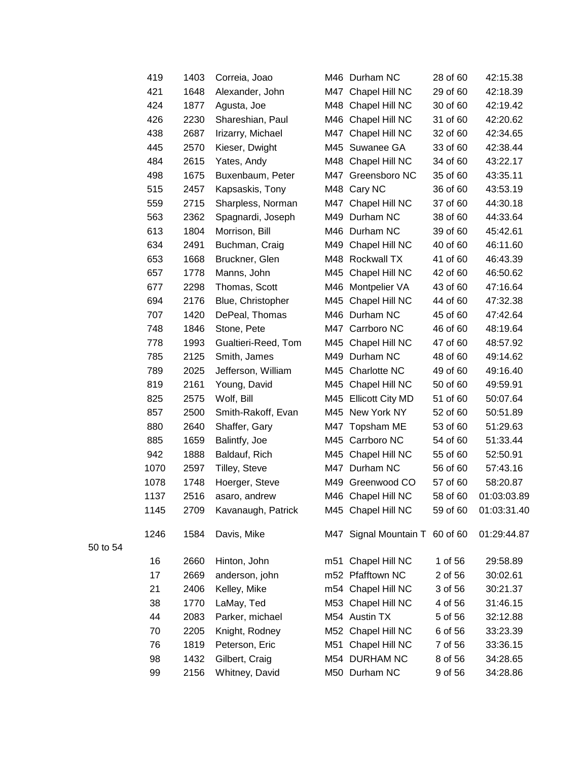| 419  | 1403 | Correia, Joao       | M46 | Durham NC                      | 28 of 60 | 42:15.38    |
|------|------|---------------------|-----|--------------------------------|----------|-------------|
| 421  | 1648 | Alexander, John     | M47 | Chapel Hill NC                 | 29 of 60 | 42:18.39    |
| 424  | 1877 | Agusta, Joe         |     | M48 Chapel Hill NC             | 30 of 60 | 42:19.42    |
| 426  | 2230 | Shareshian, Paul    | M46 | Chapel Hill NC                 | 31 of 60 | 42:20.62    |
| 438  | 2687 | Irizarry, Michael   | M47 | Chapel Hill NC                 | 32 of 60 | 42:34.65    |
| 445  | 2570 | Kieser, Dwight      | M45 | Suwanee GA                     | 33 of 60 | 42:38.44    |
| 484  | 2615 | Yates, Andy         |     | M48 Chapel Hill NC             | 34 of 60 | 43:22.17    |
| 498  | 1675 | Buxenbaum, Peter    |     | M47 Greensboro NC              | 35 of 60 | 43:35.11    |
| 515  | 2457 | Kapsaskis, Tony     | M48 | Cary NC                        | 36 of 60 | 43:53.19    |
| 559  | 2715 | Sharpless, Norman   |     | M47 Chapel Hill NC             | 37 of 60 | 44:30.18    |
| 563  | 2362 | Spagnardi, Joseph   |     | M49 Durham NC                  | 38 of 60 | 44:33.64    |
| 613  | 1804 | Morrison, Bill      |     | M46 Durham NC                  | 39 of 60 | 45:42.61    |
| 634  | 2491 | Buchman, Craig      | M49 | Chapel Hill NC                 | 40 of 60 | 46:11.60    |
| 653  | 1668 | Bruckner, Glen      | M48 | Rockwall TX                    | 41 of 60 | 46:43.39    |
| 657  | 1778 | Manns, John         | M45 | Chapel Hill NC                 | 42 of 60 | 46:50.62    |
| 677  | 2298 | Thomas, Scott       | M46 | Montpelier VA                  | 43 of 60 | 47:16.64    |
| 694  | 2176 | Blue, Christopher   |     | M45 Chapel Hill NC             | 44 of 60 | 47:32.38    |
| 707  | 1420 | DePeal, Thomas      |     | M46 Durham NC                  | 45 of 60 | 47:42.64    |
| 748  | 1846 | Stone, Pete         |     | M47 Carrboro NC                | 46 of 60 | 48:19.64    |
| 778  | 1993 | Gualtieri-Reed, Tom | M45 | Chapel Hill NC                 | 47 of 60 | 48:57.92    |
| 785  | 2125 | Smith, James        | M49 | Durham NC                      | 48 of 60 | 49:14.62    |
| 789  | 2025 | Jefferson, William  |     | M45 Charlotte NC               | 49 of 60 | 49:16.40    |
| 819  | 2161 | Young, David        | M45 | Chapel Hill NC                 | 50 of 60 | 49:59.91    |
| 825  | 2575 | Wolf, Bill          |     | M45 Ellicott City MD           | 51 of 60 | 50:07.64    |
| 857  | 2500 | Smith-Rakoff, Evan  |     | M45 New York NY                | 52 of 60 | 50:51.89    |
| 880  | 2640 | Shaffer, Gary       |     | M47 Topsham ME                 | 53 of 60 | 51:29.63    |
| 885  | 1659 | Balintfy, Joe       |     | M45 Carrboro NC                | 54 of 60 | 51:33.44    |
| 942  | 1888 | Baldauf, Rich       | M45 | Chapel Hill NC                 | 55 of 60 | 52:50.91    |
| 1070 | 2597 | Tilley, Steve       |     | M47 Durham NC                  | 56 of 60 | 57:43.16    |
| 1078 | 1748 | Hoerger, Steve      | M49 | Greenwood CO                   | 57 of 60 | 58:20.87    |
| 1137 | 2516 | asaro, andrew       |     | M46 Chapel Hill NC             | 58 of 60 | 01:03:03.89 |
| 1145 | 2709 | Kavanaugh, Patrick  |     | M45 Chapel Hill NC             | 59 of 60 | 01:03:31.40 |
| 1246 | 1584 | Davis, Mike         |     | M47 Signal Mountain T 60 of 60 |          | 01:29:44.87 |
| 16   | 2660 | Hinton, John        |     | m51 Chapel Hill NC             | 1 of 56  | 29:58.89    |
| 17   | 2669 | anderson, john      |     | m52 Pfafftown NC               | 2 of 56  | 30:02.61    |
| 21   | 2406 | Kelley, Mike        |     | m54 Chapel Hill NC             | 3 of 56  | 30:21.37    |
| 38   | 1770 | LaMay, Ted          |     | M53 Chapel Hill NC             | 4 of 56  | 31:46.15    |
| 44   | 2083 | Parker, michael     |     | M54 Austin TX                  | 5 of 56  | 32:12.88    |
| 70   | 2205 | Knight, Rodney      |     | M52 Chapel Hill NC             | 6 of 56  | 33:23.39    |
| 76   | 1819 | Peterson, Eric      | M51 | Chapel Hill NC                 | 7 of 56  | 33:36.15    |
| 98   | 1432 | Gilbert, Craig      |     | M54 DURHAM NC                  | 8 of 56  | 34:28.65    |
| 99   | 2156 | Whitney, David      |     | M50 Durham NC                  | 9 of 56  | 34:28.86    |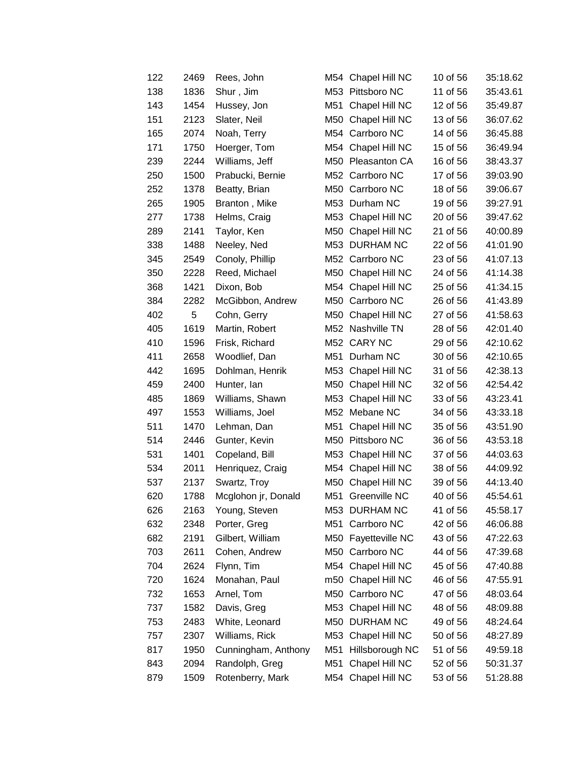| 122 | 2469 | Rees, John          | M54 | Chapel Hill NC      | 10 of 56 | 35:18.62 |
|-----|------|---------------------|-----|---------------------|----------|----------|
| 138 | 1836 | Shur, Jim           |     | M53 Pittsboro NC    | 11 of 56 | 35:43.61 |
| 143 | 1454 | Hussey, Jon         | M51 | Chapel Hill NC      | 12 of 56 | 35:49.87 |
| 151 | 2123 | Slater, Neil        | M50 | Chapel Hill NC      | 13 of 56 | 36:07.62 |
| 165 | 2074 | Noah, Terry         |     | M54 Carrboro NC     | 14 of 56 | 36:45.88 |
| 171 | 1750 | Hoerger, Tom        | M54 | Chapel Hill NC      | 15 of 56 | 36:49.94 |
| 239 | 2244 | Williams, Jeff      | M50 | Pleasanton CA       | 16 of 56 | 38:43.37 |
| 250 | 1500 | Prabucki, Bernie    |     | M52 Carrboro NC     | 17 of 56 | 39:03.90 |
| 252 | 1378 | Beatty, Brian       | M50 | Carrboro NC         | 18 of 56 | 39:06.67 |
| 265 | 1905 | Branton, Mike       |     | M53 Durham NC       | 19 of 56 | 39:27.91 |
| 277 | 1738 | Helms, Craig        | M53 | Chapel Hill NC      | 20 of 56 | 39:47.62 |
| 289 | 2141 | Taylor, Ken         | M50 | Chapel Hill NC      | 21 of 56 | 40:00.89 |
| 338 | 1488 | Neeley, Ned         |     | M53 DURHAM NC       | 22 of 56 | 41:01.90 |
| 345 | 2549 | Conoly, Phillip     |     | M52 Carrboro NC     | 23 of 56 | 41:07.13 |
| 350 | 2228 | Reed, Michael       | M50 | Chapel Hill NC      | 24 of 56 | 41:14.38 |
| 368 | 1421 | Dixon, Bob          | M54 | Chapel Hill NC      | 25 of 56 | 41:34.15 |
| 384 | 2282 | McGibbon, Andrew    |     | M50 Carrboro NC     | 26 of 56 | 41:43.89 |
| 402 | 5    | Cohn, Gerry         | M50 | Chapel Hill NC      | 27 of 56 | 41:58.63 |
| 405 | 1619 | Martin, Robert      |     | M52 Nashville TN    | 28 of 56 | 42:01.40 |
| 410 | 1596 | Frisk, Richard      |     | M52 CARY NC         | 29 of 56 | 42:10.62 |
| 411 | 2658 | Woodlief, Dan       | M51 | Durham NC           | 30 of 56 | 42:10.65 |
| 442 | 1695 | Dohlman, Henrik     | M53 | Chapel Hill NC      | 31 of 56 | 42:38.13 |
| 459 | 2400 | Hunter, lan         | M50 | Chapel Hill NC      | 32 of 56 | 42:54.42 |
| 485 | 1869 | Williams, Shawn     | M53 | Chapel Hill NC      | 33 of 56 | 43:23.41 |
| 497 | 1553 | Williams, Joel      |     | M52 Mebane NC       | 34 of 56 | 43:33.18 |
| 511 | 1470 | Lehman, Dan         | M51 | Chapel Hill NC      | 35 of 56 | 43:51.90 |
| 514 | 2446 | Gunter, Kevin       |     | M50 Pittsboro NC    | 36 of 56 | 43:53.18 |
| 531 | 1401 | Copeland, Bill      | M53 | Chapel Hill NC      | 37 of 56 | 44:03.63 |
| 534 | 2011 | Henriquez, Craig    |     | M54 Chapel Hill NC  | 38 of 56 | 44:09.92 |
| 537 | 2137 | Swartz, Troy        | M50 | Chapel Hill NC      | 39 of 56 | 44:13.40 |
| 620 | 1788 | Mcglohon jr, Donald | M51 | Greenville NC       | 40 of 56 | 45:54.61 |
| 626 | 2163 | Young, Steven       |     | M53 DURHAM NC       | 41 of 56 | 45:58.17 |
| 632 | 2348 | Porter, Greg        | M51 | Carrboro NC         | 42 of 56 | 46:06.88 |
| 682 | 2191 | Gilbert, William    |     | M50 Fayetteville NC | 43 of 56 | 47:22.63 |
| 703 | 2611 | Cohen, Andrew       | M50 | Carrboro NC         | 44 of 56 | 47:39.68 |
| 704 | 2624 | Flynn, Tim          | M54 | Chapel Hill NC      | 45 of 56 | 47:40.88 |
| 720 | 1624 | Monahan, Paul       | m50 | Chapel Hill NC      | 46 of 56 | 47:55.91 |
| 732 | 1653 | Arnel, Tom          | M50 | Carrboro NC         | 47 of 56 | 48:03.64 |
| 737 | 1582 | Davis, Greg         | M53 | Chapel Hill NC      | 48 of 56 | 48:09.88 |
| 753 | 2483 | White, Leonard      |     | M50 DURHAM NC       | 49 of 56 | 48:24.64 |
| 757 | 2307 | Williams, Rick      | M53 | Chapel Hill NC      | 50 of 56 | 48:27.89 |
| 817 | 1950 | Cunningham, Anthony | M51 | Hillsborough NC     | 51 of 56 | 49:59.18 |
| 843 | 2094 | Randolph, Greg      | M51 | Chapel Hill NC      | 52 of 56 | 50:31.37 |
| 879 | 1509 | Rotenberry, Mark    | M54 | Chapel Hill NC      | 53 of 56 | 51:28.88 |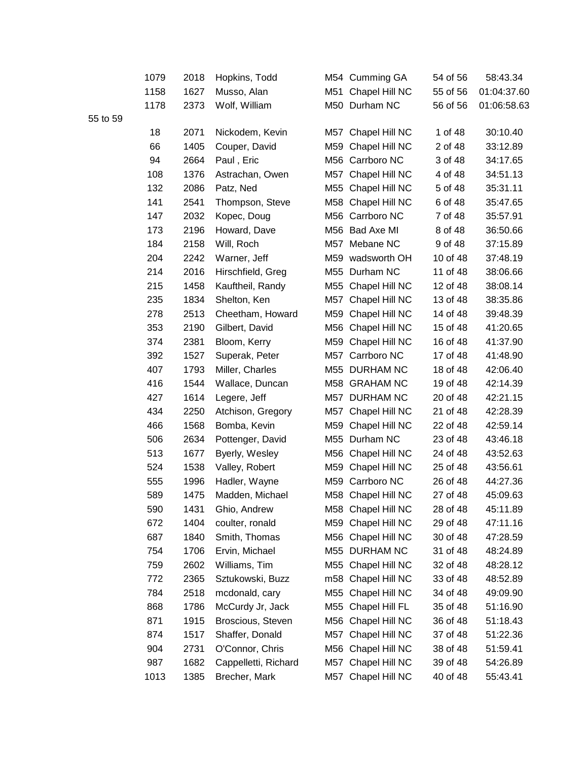|          | 1079 | 2018 | Hopkins, Todd        |     | M54 Cumming GA     | 54 of 56 | 58:43.34    |
|----------|------|------|----------------------|-----|--------------------|----------|-------------|
|          | 1158 | 1627 | Musso, Alan          | M51 | Chapel Hill NC     | 55 of 56 | 01:04:37.60 |
|          | 1178 | 2373 | Wolf, William        |     | M50 Durham NC      | 56 of 56 | 01:06:58.63 |
| 55 to 59 |      |      |                      |     |                    |          |             |
|          | 18   | 2071 | Nickodem, Kevin      | M57 | Chapel Hill NC     | 1 of 48  | 30:10.40    |
|          | 66   | 1405 | Couper, David        | M59 | Chapel Hill NC     | 2 of 48  | 33:12.89    |
|          | 94   | 2664 | Paul, Eric           | M56 | Carrboro NC        | 3 of 48  | 34:17.65    |
|          | 108  | 1376 | Astrachan, Owen      | M57 | Chapel Hill NC     | 4 of 48  | 34:51.13    |
|          | 132  | 2086 | Patz, Ned            | M55 | Chapel Hill NC     | 5 of 48  | 35:31.11    |
|          | 141  | 2541 | Thompson, Steve      | M58 | Chapel Hill NC     | 6 of 48  | 35:47.65    |
|          | 147  | 2032 | Kopec, Doug          |     | M56 Carrboro NC    | 7 of 48  | 35:57.91    |
|          | 173  | 2196 | Howard, Dave         |     | M56 Bad Axe MI     | 8 of 48  | 36:50.66    |
|          | 184  | 2158 | Will, Roch           | M57 | Mebane NC          | 9 of 48  | 37:15.89    |
|          | 204  | 2242 | Warner, Jeff         | M59 | wadsworth OH       | 10 of 48 | 37:48.19    |
|          | 214  | 2016 | Hirschfield, Greg    |     | M55 Durham NC      | 11 of 48 | 38:06.66    |
|          | 215  | 1458 | Kauftheil, Randy     | M55 | Chapel Hill NC     | 12 of 48 | 38:08.14    |
|          | 235  | 1834 | Shelton, Ken         | M57 | Chapel Hill NC     | 13 of 48 | 38:35.86    |
|          | 278  | 2513 | Cheetham, Howard     |     | M59 Chapel Hill NC | 14 of 48 | 39:48.39    |
|          | 353  | 2190 | Gilbert, David       | M56 | Chapel Hill NC     | 15 of 48 | 41:20.65    |
|          | 374  | 2381 | Bloom, Kerry         | M59 | Chapel Hill NC     | 16 of 48 | 41:37.90    |
|          | 392  | 1527 | Superak, Peter       | M57 | Carrboro NC        | 17 of 48 | 41:48.90    |
|          | 407  | 1793 | Miller, Charles      |     | M55 DURHAM NC      | 18 of 48 | 42:06.40    |
|          | 416  | 1544 | Wallace, Duncan      |     | M58 GRAHAM NC      | 19 of 48 | 42:14.39    |
|          | 427  | 1614 | Legere, Jeff         | M57 | <b>DURHAM NC</b>   | 20 of 48 | 42:21.15    |
|          | 434  | 2250 | Atchison, Gregory    | M57 | Chapel Hill NC     | 21 of 48 | 42:28.39    |
|          | 466  | 1568 | Bomba, Kevin         | M59 | Chapel Hill NC     | 22 of 48 | 42:59.14    |
|          | 506  | 2634 | Pottenger, David     |     | M55 Durham NC      | 23 of 48 | 43:46.18    |
|          | 513  | 1677 | Byerly, Wesley       | M56 | Chapel Hill NC     | 24 of 48 | 43:52.63    |
|          | 524  | 1538 | Valley, Robert       | M59 | Chapel Hill NC     | 25 of 48 | 43:56.61    |
|          | 555  | 1996 | Hadler, Wayne        | M59 | Carrboro NC        | 26 of 48 | 44:27.36    |
|          | 589  | 1475 | Madden, Michael      |     | M58 Chapel Hill NC | 27 of 48 | 45:09.63    |
|          | 590  | 1431 | Ghio, Andrew         |     | M58 Chapel Hill NC | 28 of 48 | 45:11.89    |
|          | 672  | 1404 | coulter, ronald      | M59 | Chapel Hill NC     | 29 of 48 | 47:11.16    |
|          | 687  | 1840 | Smith, Thomas        | M56 | Chapel Hill NC     | 30 of 48 | 47:28.59    |
|          | 754  | 1706 | Ervin, Michael       |     | M55 DURHAM NC      | 31 of 48 | 48:24.89    |
|          | 759  | 2602 | Williams, Tim        | M55 | Chapel Hill NC     | 32 of 48 | 48:28.12    |
|          | 772  | 2365 | Sztukowski, Buzz     | m58 | Chapel Hill NC     | 33 of 48 | 48:52.89    |
|          | 784  | 2518 | mcdonald, cary       | M55 | Chapel Hill NC     | 34 of 48 | 49:09.90    |
|          | 868  | 1786 | McCurdy Jr, Jack     | M55 | Chapel Hill FL     | 35 of 48 | 51:16.90    |
|          | 871  | 1915 | Broscious, Steven    | M56 | Chapel Hill NC     | 36 of 48 | 51:18.43    |
|          | 874  | 1517 | Shaffer, Donald      | M57 | Chapel Hill NC     | 37 of 48 | 51:22.36    |
|          | 904  | 2731 | O'Connor, Chris      | M56 | Chapel Hill NC     | 38 of 48 | 51:59.41    |
|          | 987  | 1682 | Cappelletti, Richard | M57 | Chapel Hill NC     | 39 of 48 | 54:26.89    |
|          | 1013 | 1385 | Brecher, Mark        | M57 | Chapel Hill NC     | 40 of 48 | 55:43.41    |
|          |      |      |                      |     |                    |          |             |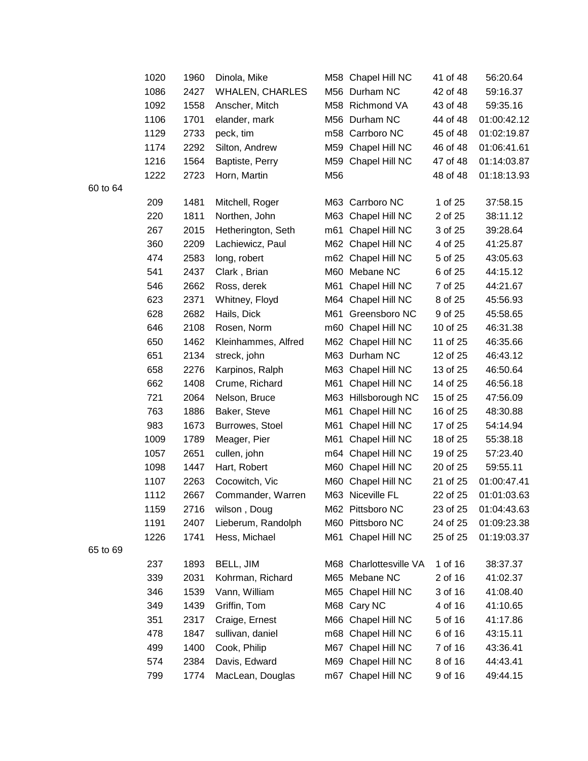|   | 1020 | 1960 | Dinola, Mike           |     | M58 Chapel Hill NC     | 41 of 48 | 56:20.64    |
|---|------|------|------------------------|-----|------------------------|----------|-------------|
|   | 1086 | 2427 | <b>WHALEN, CHARLES</b> |     | M56 Durham NC          | 42 of 48 | 59:16.37    |
|   | 1092 | 1558 | Anscher, Mitch         |     | M58 Richmond VA        | 43 of 48 | 59:35.16    |
|   | 1106 | 1701 | elander, mark          |     | M56 Durham NC          | 44 of 48 | 01:00:42.12 |
|   | 1129 | 2733 | peck, tim              |     | m58 Carrboro NC        | 45 of 48 | 01:02:19.87 |
|   | 1174 | 2292 | Silton, Andrew         |     | M59 Chapel Hill NC     | 46 of 48 | 01:06:41.61 |
|   | 1216 | 1564 | Baptiste, Perry        |     | M59 Chapel Hill NC     | 47 of 48 | 01:14:03.87 |
|   | 1222 | 2723 | Horn, Martin           | M56 |                        | 48 of 48 | 01:18:13.93 |
| 4 |      |      |                        |     |                        |          |             |
|   | 209  | 1481 | Mitchell, Roger        |     | M63 Carrboro NC        | 1 of 25  | 37:58.15    |
|   | 220  | 1811 | Northen, John          |     | M63 Chapel Hill NC     | 2 of 25  | 38:11.12    |
|   | 267  | 2015 | Hetherington, Seth     |     | m61 Chapel Hill NC     | 3 of 25  | 39:28.64    |
|   | 360  | 2209 | Lachiewicz, Paul       |     | M62 Chapel Hill NC     | 4 of 25  | 41:25.87    |
|   | 474  | 2583 | long, robert           |     | m62 Chapel Hill NC     | 5 of 25  | 43:05.63    |
|   | 541  | 2437 | Clark, Brian           |     | M60 Mebane NC          | 6 of 25  | 44:15.12    |
|   | 546  | 2662 | Ross, derek            | M61 | Chapel Hill NC         | 7 of 25  | 44:21.67    |
|   | 623  | 2371 | Whitney, Floyd         |     | M64 Chapel Hill NC     | 8 of 25  | 45:56.93    |
|   | 628  | 2682 | Hails, Dick            |     | M61 Greensboro NC      | 9 of 25  | 45:58.65    |
|   | 646  | 2108 | Rosen, Norm            |     | m60 Chapel Hill NC     | 10 of 25 | 46:31.38    |
|   | 650  | 1462 | Kleinhammes, Alfred    |     | M62 Chapel Hill NC     | 11 of 25 | 46:35.66    |
|   | 651  | 2134 | streck, john           |     | M63 Durham NC          | 12 of 25 | 46:43.12    |
|   | 658  | 2276 | Karpinos, Ralph        |     | M63 Chapel Hill NC     | 13 of 25 | 46:50.64    |
|   | 662  | 1408 | Crume, Richard         | M61 | Chapel Hill NC         | 14 of 25 | 46:56.18    |
|   | 721  | 2064 | Nelson, Bruce          |     | M63 Hillsborough NC    | 15 of 25 | 47:56.09    |
|   | 763  | 1886 | Baker, Steve           | M61 | Chapel Hill NC         | 16 of 25 | 48:30.88    |
|   | 983  | 1673 | Burrowes, Stoel        | M61 | Chapel Hill NC         | 17 of 25 | 54:14.94    |
|   | 1009 | 1789 | Meager, Pier           |     | M61 Chapel Hill NC     | 18 of 25 | 55:38.18    |
|   | 1057 | 2651 | cullen, john           |     | m64 Chapel Hill NC     | 19 of 25 | 57:23.40    |
|   | 1098 | 1447 | Hart, Robert           |     | M60 Chapel Hill NC     | 20 of 25 | 59:55.11    |
|   | 1107 | 2263 | Cocowitch, Vic         |     | M60 Chapel Hill NC     | 21 of 25 | 01:00:47.41 |
|   | 1112 | 2667 | Commander, Warren      |     | M63 Niceville FL       | 22 of 25 | 01:01:03.63 |
|   | 1159 | 2716 | wilson, Doug           |     | M62 Pittsboro NC       | 23 of 25 | 01:04:43.63 |
|   | 1191 | 2407 | Lieberum, Randolph     |     | M60 Pittsboro NC       | 24 of 25 | 01:09:23.38 |
|   | 1226 | 1741 | Hess, Michael          |     | M61 Chapel Hill NC     | 25 of 25 | 01:19:03.37 |
|   |      |      |                        |     |                        |          |             |
|   | 237  | 1893 | BELL, JIM              |     | M68 Charlottesville VA | 1 of 16  | 38:37.37    |
|   | 339  | 2031 | Kohrman, Richard       |     | M65 Mebane NC          | 2 of 16  | 41:02.37    |
|   | 346  | 1539 | Vann, William          |     | M65 Chapel Hill NC     | 3 of 16  | 41:08.40    |
|   | 349  | 1439 | Griffin, Tom           |     | M68 Cary NC            | 4 of 16  | 41:10.65    |
|   | 351  | 2317 | Craige, Ernest         |     | M66 Chapel Hill NC     | 5 of 16  | 41:17.86    |
|   | 478  | 1847 | sullivan, daniel       |     | m68 Chapel Hill NC     | 6 of 16  | 43:15.11    |
|   | 499  | 1400 | Cook, Philip           |     | M67 Chapel Hill NC     | 7 of 16  | 43:36.41    |
|   | 574  | 2384 | Davis, Edward          |     | M69 Chapel Hill NC     | 8 of 16  | 44:43.41    |
|   | 799  | 1774 | MacLean, Douglas       |     | m67 Chapel Hill NC     | 9 of 16  | 49:44.15    |